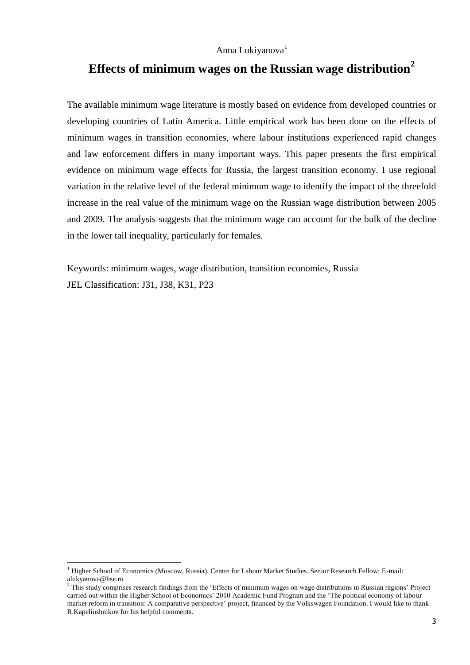# **Effects of minimum wages on the Russian wage distribution<sup>2</sup>**

The available minimum wage literature is mostly based on evidence from developed countries or developing countries of Latin America. Little empirical work has been done on the effects of minimum wages in transition economies, where labour institutions experienced rapid changes and law enforcement differs in many important ways. This paper presents the first empirical evidence on minimum wage effects for Russia, the largest transition economy. I use regional variation in the relative level of the federal minimum wage to identify the impact of the threefold increase in the real value of the minimum wage on the Russian wage distribution between 2005 and 2009. The analysis suggests that the minimum wage can account for the bulk of the decline in the lower tail inequality, particularly for females.

Keywords: minimum wages, wage distribution, transition economies, Russia JEL Classification: J31, J38, K31, P23

 $\overline{a}$ 

<sup>&</sup>lt;sup>1</sup> Higher School of Economics (Moscow, Russia). Centre for Labour Market Studies. Senior Research Fellow; E-mail: alukyanova@hse.ru

 $2$  This study comprises research findings from the 'Effects of minimum wages on wage distributions in Russian regions' Project carried out within the Higher School of Economics' 2010 Academic Fund Program and the 'The political economy of labour market reform in transition: A comparative perspective' project, financed by the Volkswagen Foundation. I would like to thank R.Kapeliushnikov for his helpful comments.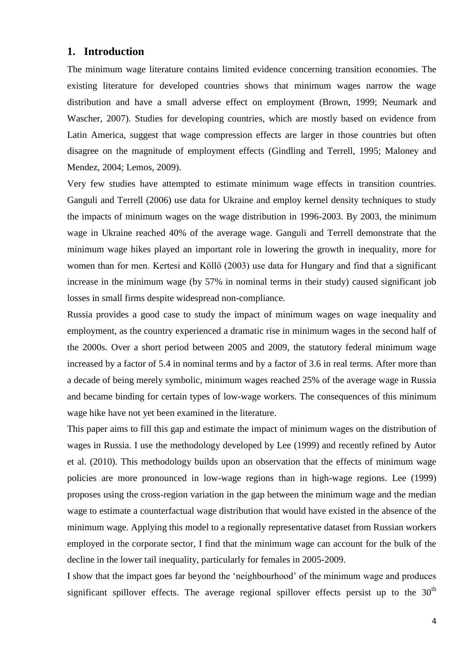## **1. Introduction**

The minimum wage literature contains limited evidence concerning transition economies. The existing literature for developed countries shows that minimum wages narrow the wage distribution and have a small adverse effect on employment (Brown, 1999; Neumark and Wascher, 2007). Studies for developing countries, which are mostly based on evidence from Latin America, suggest that wage compression effects are larger in those countries but often disagree on the magnitude of employment effects (Gindling and Terrell, 1995; Maloney and Mendez, 2004; Lemos, 2009).

Very few studies have attempted to estimate minimum wage effects in transition countries. Ganguli and Terrell (2006) use data for Ukraine and employ kernel density techniques to study the impacts of minimum wages on the wage distribution in 1996-2003. By 2003, the minimum wage in Ukraine reached 40% of the average wage. Ganguli and Terrell demonstrate that the minimum wage hikes played an important role in lowering the growth in inequality, more for women than for men. Kertesi and Köllő (2003) use data for Hungary and find that a significant increase in the minimum wage (by 57% in nominal terms in their study) caused significant job losses in small firms despite widespread non-compliance.

Russia provides a good case to study the impact of minimum wages on wage inequality and employment, as the country experienced a dramatic rise in minimum wages in the second half of the 2000s. Over a short period between 2005 and 2009, the statutory federal minimum wage increased by a factor of 5.4 in nominal terms and by a factor of 3.6 in real terms. After more than a decade of being merely symbolic, minimum wages reached 25% of the average wage in Russia and became binding for certain types of low-wage workers. The consequences of this minimum wage hike have not yet been examined in the literature.

This paper aims to fill this gap and estimate the impact of minimum wages on the distribution of wages in Russia. I use the methodology developed by Lee (1999) and recently refined by Autor et al. (2010). This methodology builds upon an observation that the effects of minimum wage policies are more pronounced in low-wage regions than in high-wage regions. Lee (1999) proposes using the cross-region variation in the gap between the minimum wage and the median wage to estimate a counterfactual wage distribution that would have existed in the absence of the minimum wage. Applying this model to a regionally representative dataset from Russian workers employed in the corporate sector, I find that the minimum wage can account for the bulk of the decline in the lower tail inequality, particularly for females in 2005-2009.

I show that the impact goes far beyond the 'neighbourhood' of the minimum wage and produces significant spillover effects. The average regional spillover effects persist up to the  $30<sup>th</sup>$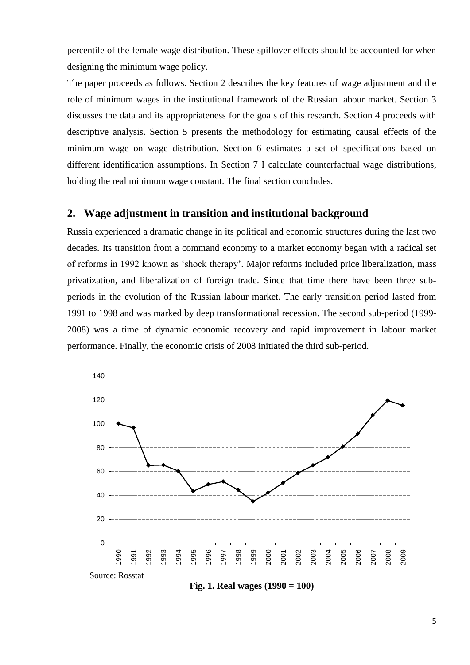percentile of the female wage distribution. These spillover effects should be accounted for when designing the minimum wage policy.

The paper proceeds as follows. Section 2 describes the key features of wage adjustment and the role of minimum wages in the institutional framework of the Russian labour market. Section 3 discusses the data and its appropriateness for the goals of this research. Section 4 proceeds with descriptive analysis. Section 5 presents the methodology for estimating causal effects of the minimum wage on wage distribution. Section 6 estimates a set of specifications based on different identification assumptions. In Section 7 I calculate counterfactual wage distributions, holding the real minimum wage constant. The final section concludes.

## **2. Wage adjustment in transition and institutional background**

Russia experienced a dramatic change in its political and economic structures during the last two decades. Its transition from a command economy to a market economy began with a radical set of reforms in 1992 known as 'shock therapy'. Major reforms included price liberalization, mass privatization, and liberalization of foreign trade. Since that time there have been three subperiods in the evolution of the Russian labour market. The early transition period lasted from 1991 to 1998 and was marked by deep transformational recession. The second sub-period (1999- 2008) was a time of dynamic economic recovery and rapid improvement in labour market performance. Finally, the economic crisis of 2008 initiated the third sub-period.



**Fig. 1. Real wages (1990 = 100)**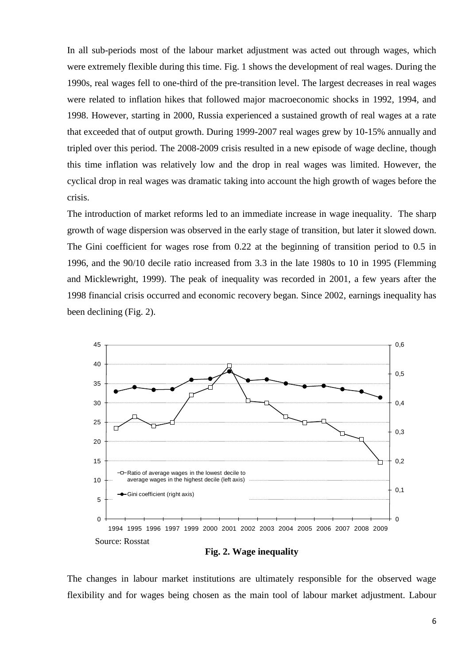In all sub-periods most of the labour market adjustment was acted out through wages, which were extremely flexible during this time. Fig. 1 shows the development of real wages. During the 1990s, real wages fell to one-third of the pre-transition level. The largest decreases in real wages were related to inflation hikes that followed major macroeconomic shocks in 1992, 1994, and 1998. However, starting in 2000, Russia experienced a sustained growth of real wages at a rate that exceeded that of output growth. During 1999-2007 real wages grew by 10-15% annually and tripled over this period. The 2008-2009 crisis resulted in a new episode of wage decline, though this time inflation was relatively low and the drop in real wages was limited. However, the cyclical drop in real wages was dramatic taking into account the high growth of wages before the crisis.

The introduction of market reforms led to an immediate increase in wage inequality. The sharp growth of wage dispersion was observed in the early stage of transition, but later it slowed down. The Gini coefficient for wages rose from 0.22 at the beginning of transition period to 0.5 in 1996, and the 90/10 decile ratio increased from 3.3 in the late 1980s to 10 in 1995 (Flemming and Micklewright, 1999). The peak of inequality was recorded in 2001, a few years after the 1998 financial crisis occurred and economic recovery began. Since 2002, earnings inequality has been declining (Fig. 2).



**Fig. 2. Wage inequality**

The changes in labour market institutions are ultimately responsible for the observed wage flexibility and for wages being chosen as the main tool of labour market adjustment. Labour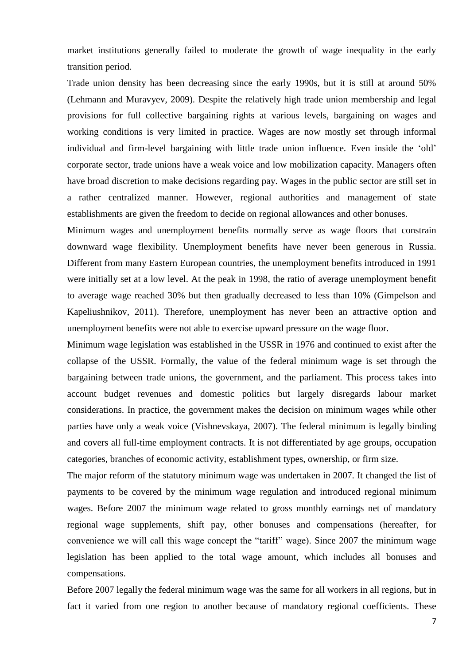market institutions generally failed to moderate the growth of wage inequality in the early transition period.

Trade union density has been decreasing since the early 1990s, but it is still at around 50% (Lehmann and Muravyev, 2009). Despite the relatively high trade union membership and legal provisions for full collective bargaining rights at various levels, bargaining on wages and working conditions is very limited in practice. Wages are now mostly set through informal individual and firm-level bargaining with little trade union influence. Even inside the 'old' corporate sector, trade unions have a weak voice and low mobilization capacity. Managers often have broad discretion to make decisions regarding pay. Wages in the public sector are still set in a rather centralized manner. However, regional authorities and management of state establishments are given the freedom to decide on regional allowances and other bonuses.

Minimum wages and unemployment benefits normally serve as wage floors that constrain downward wage flexibility. Unemployment benefits have never been generous in Russia. Different from many Eastern European countries, the unemployment benefits introduced in 1991 were initially set at a low level. At the peak in 1998, the ratio of average unemployment benefit to average wage reached 30% but then gradually decreased to less than 10% (Gimpelson and Kapeliushnikov, 2011). Therefore, unemployment has never been an attractive option and unemployment benefits were not able to exercise upward pressure on the wage floor.

Minimum wage legislation was established in the USSR in 1976 and continued to exist after the collapse of the USSR. Formally, the value of the federal minimum wage is set through the bargaining between trade unions, the government, and the parliament. This process takes into account budget revenues and domestic politics but largely disregards labour market considerations. In practice, the government makes the decision on minimum wages while other parties have only a weak voice (Vishnevskaya, 2007). The federal minimum is legally binding and covers all full-time employment contracts. It is not differentiated by age groups, occupation categories, branches of economic activity, establishment types, ownership, or firm size.

The major reform of the statutory minimum wage was undertaken in 2007. It changed the list of payments to be covered by the minimum wage regulation and introduced regional minimum wages. Before 2007 the minimum wage related to gross monthly earnings net of mandatory regional wage supplements, shift pay, other bonuses and compensations (hereafter, for convenience we will call this wage concept the "tariff" wage). Since 2007 the minimum wage legislation has been applied to the total wage amount, which includes all bonuses and compensations.

Before 2007 legally the federal minimum wage was the same for all workers in all regions, but in fact it varied from one region to another because of mandatory regional coefficients. These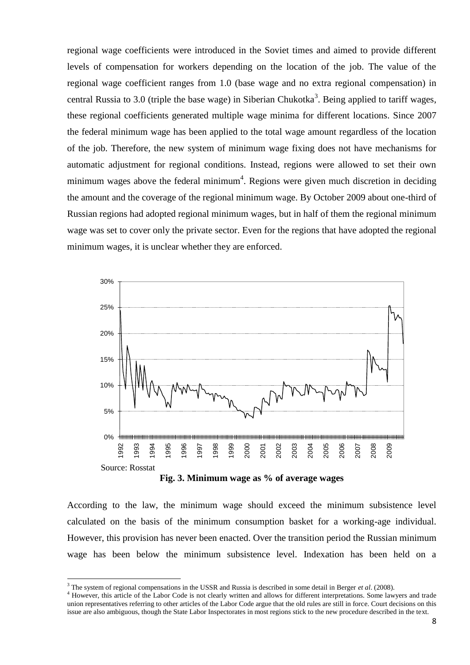regional wage coefficients were introduced in the Soviet times and aimed to provide different levels of compensation for workers depending on the location of the job. The value of the regional wage coefficient ranges from 1.0 (base wage and no extra regional compensation) in central Russia to 3.0 (triple the base wage) in Siberian Chukotka<sup>3</sup>. Being applied to tariff wages, these regional coefficients generated multiple wage minima for different locations. Since 2007 the federal minimum wage has been applied to the total wage amount regardless of the location of the job. Therefore, the new system of minimum wage fixing does not have mechanisms for automatic adjustment for regional conditions. Instead, regions were allowed to set their own minimum wages above the federal minimum<sup>4</sup>. Regions were given much discretion in deciding the amount and the coverage of the regional minimum wage. By October 2009 about one-third of Russian regions had adopted regional minimum wages, but in half of them the regional minimum wage was set to cover only the private sector. Even for the regions that have adopted the regional minimum wages, it is unclear whether they are enforced.



**Fig. 3. Minimum wage as % of average wages**

According to the law, the minimum wage should exceed the minimum subsistence level calculated on the basis of the minimum consumption basket for a working-age individual. However, this provision has never been enacted. Over the transition period the Russian minimum wage has been below the minimum subsistence level. Indexation has been held on a

**.** 

<sup>3</sup> The system of regional compensations in the USSR and Russia is described in some detail in Berger *et al*. (2008).

<sup>&</sup>lt;sup>4</sup> However, this article of the Labor Code is not clearly written and allows for different interpretations. Some lawyers and trade union representatives referring to other articles of the Labor Code argue that the old rules are still in force. Court decisions on this issue are also ambiguous, though the State Labor Inspectorates in most regions stick to the new procedure described in the text.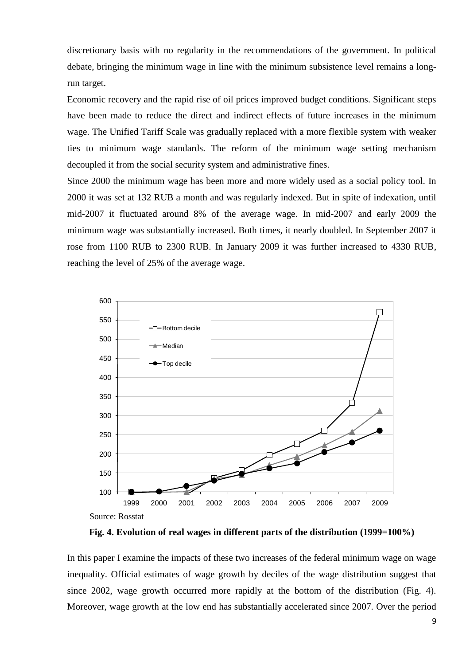discretionary basis with no regularity in the recommendations of the government. In political debate, bringing the minimum wage in line with the minimum subsistence level remains a longrun target.

Economic recovery and the rapid rise of oil prices improved budget conditions. Significant steps have been made to reduce the direct and indirect effects of future increases in the minimum wage. The Unified Tariff Scale was gradually replaced with a more flexible system with weaker ties to minimum wage standards. The reform of the minimum wage setting mechanism decoupled it from the social security system and administrative fines.

Since 2000 the minimum wage has been more and more widely used as a social policy tool. In 2000 it was set at 132 RUB a month and was regularly indexed. But in spite of indexation, until mid-2007 it fluctuated around 8% of the average wage. In mid-2007 and early 2009 the minimum wage was substantially increased. Both times, it nearly doubled. In September 2007 it rose from 1100 RUB to 2300 RUB. In January 2009 it was further increased to 4330 RUB, reaching the level of 25% of the average wage.



**Fig. 4. Evolution of real wages in different parts of the distribution (1999=100%)**

In this paper I examine the impacts of these two increases of the federal minimum wage on wage inequality. Official estimates of wage growth by deciles of the wage distribution suggest that since 2002, wage growth occurred more rapidly at the bottom of the distribution (Fig. 4). Moreover, wage growth at the low end has substantially accelerated since 2007. Over the period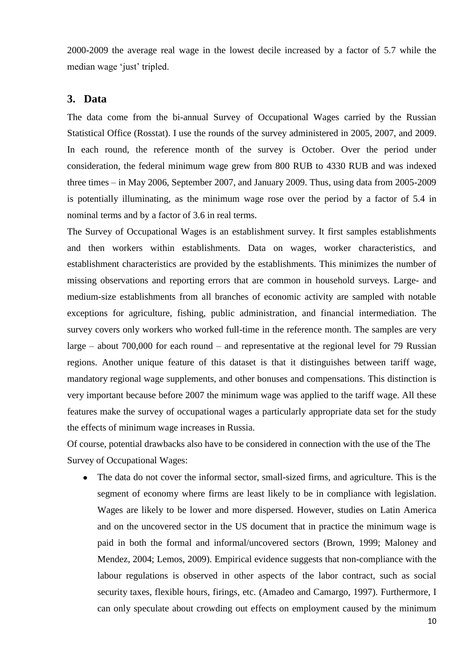2000-2009 the average real wage in the lowest decile increased by a factor of 5.7 while the median wage 'just' tripled.

#### **3. Data**

The data come from the bi-annual Survey of Occupational Wages carried by the Russian Statistical Office (Rosstat). I use the rounds of the survey administered in 2005, 2007, and 2009. In each round, the reference month of the survey is October. Over the period under consideration, the federal minimum wage grew from 800 RUB to 4330 RUB and was indexed three times – in May 2006, September 2007, and January 2009. Thus, using data from 2005-2009 is potentially illuminating, as the minimum wage rose over the period by a factor of 5.4 in nominal terms and by a factor of 3.6 in real terms.

The Survey of Occupational Wages is an establishment survey. It first samples establishments and then workers within establishments. Data on wages, worker characteristics, and establishment characteristics are provided by the establishments. This minimizes the number of missing observations and reporting errors that are common in household surveys. Large- and medium-size establishments from all branches of economic activity are sampled with notable exceptions for agriculture, fishing, public administration, and financial intermediation. The survey covers only workers who worked full-time in the reference month. The samples are very large – about 700,000 for each round – and representative at the regional level for 79 Russian regions. Another unique feature of this dataset is that it distinguishes between tariff wage, mandatory regional wage supplements, and other bonuses and compensations. This distinction is very important because before 2007 the minimum wage was applied to the tariff wage. All these features make the survey of occupational wages a particularly appropriate data set for the study the effects of minimum wage increases in Russia.

Of course, potential drawbacks also have to be considered in connection with the use of the The Survey of Occupational Wages:

• The data do not cover the informal sector, small-sized firms, and agriculture. This is the segment of economy where firms are least likely to be in compliance with legislation. Wages are likely to be lower and more dispersed. However, studies on Latin America and on the uncovered sector in the US document that in practice the minimum wage is paid in both the formal and informal/uncovered sectors (Brown, 1999; Maloney and Mendez, 2004; Lemos, 2009). Empirical evidence suggests that non-compliance with the labour regulations is observed in other aspects of the labor contract, such as social security taxes, flexible hours, firings, etc. (Amadeo and Camargo, 1997). Furthermore, I can only speculate about crowding out effects on employment caused by the minimum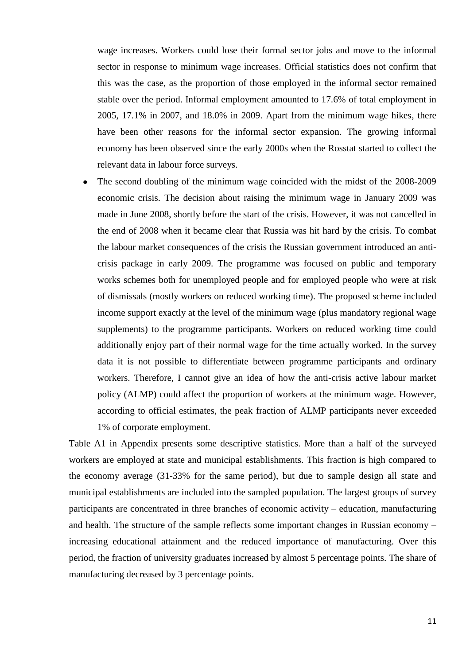wage increases. Workers could lose their formal sector jobs and move to the informal sector in response to minimum wage increases. Official statistics does not confirm that this was the case, as the proportion of those employed in the informal sector remained stable over the period. Informal employment amounted to 17.6% of total employment in 2005, 17.1% in 2007, and 18.0% in 2009. Apart from the minimum wage hikes, there have been other reasons for the informal sector expansion. The growing informal economy has been observed since the early 2000s when the Rosstat started to collect the relevant data in labour force surveys.

The second doubling of the minimum wage coincided with the midst of the 2008-2009  $\bullet$ economic crisis. The decision about raising the minimum wage in January 2009 was made in June 2008, shortly before the start of the crisis. However, it was not cancelled in the end of 2008 when it became clear that Russia was hit hard by the crisis. To combat the labour market consequences of the crisis the Russian government introduced an anticrisis package in early 2009. The programme was focused on public and temporary works schemes both for unemployed people and for employed people who were at risk of dismissals (mostly workers on reduced working time). The proposed scheme included income support exactly at the level of the minimum wage (plus mandatory regional wage supplements) to the programme participants. Workers on reduced working time could additionally enjoy part of their normal wage for the time actually worked. In the survey data it is not possible to differentiate between programme participants and ordinary workers. Therefore, I cannot give an idea of how the anti-crisis active labour market policy (ALMP) could affect the proportion of workers at the minimum wage. However, according to official estimates, the peak fraction of ALMP participants never exceeded 1% of corporate employment.

Table A1 in Appendix presents some descriptive statistics. More than a half of the surveyed workers are employed at state and municipal establishments. This fraction is high compared to the economy average (31-33% for the same period), but due to sample design all state and municipal establishments are included into the sampled population. The largest groups of survey participants are concentrated in three branches of economic activity – education, manufacturing and health. The structure of the sample reflects some important changes in Russian economy – increasing educational attainment and the reduced importance of manufacturing. Over this period, the fraction of university graduates increased by almost 5 percentage points. The share of manufacturing decreased by 3 percentage points.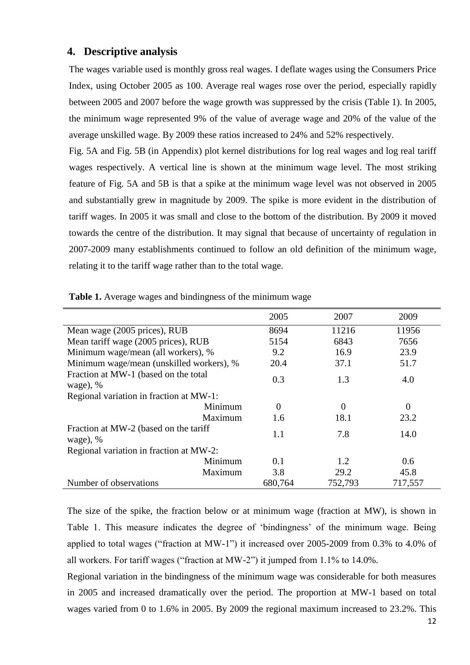#### **4. Descriptive analysis**

The wages variable used is monthly gross real wages. I deflate wages using the Consumers Price Index, using October 2005 as 100. Average real wages rose over the period, especially rapidly between 2005 and 2007 before the wage growth was suppressed by the crisis (Table 1). In 2005, the minimum wage represented 9% of the value of average wage and 20% of the value of the average unskilled wage. By 2009 these ratios increased to 24% and 52% respectively.

Fig. 5A and Fig. 5B (in Appendix) plot kernel distributions for log real wages and log real tariff wages respectively. A vertical line is shown at the minimum wage level. The most striking feature of Fig. 5A and 5B is that a spike at the minimum wage level was not observed in 2005 and substantially grew in magnitude by 2009. The spike is more evident in the distribution of tariff wages. In 2005 it was small and close to the bottom of the distribution. By 2009 it moved towards the centre of the distribution. It may signal that because of uncertainty of regulation in 2007-2009 many establishments continued to follow an old definition of the minimum wage, relating it to the tariff wage rather than to the total wage.

|                                                     | 2005     | 2007           | 2009     |
|-----------------------------------------------------|----------|----------------|----------|
| Mean wage (2005 prices), RUB                        | 8694     | 11216          | 11956    |
| Mean tariff wage (2005 prices), RUB                 | 5154     | 6843           | 7656     |
| Minimum wage/mean (all workers), %                  | 9.2      | 16.9           | 23.9     |
| Minimum wage/mean (unskilled workers), %            | 20.4     | 37.1           | 51.7     |
| Fraction at MW-1 (based on the total<br>wage), $%$  | 0.3      | 1.3            | 4.0      |
| Regional variation in fraction at MW-1:             |          |                |          |
| Minimum                                             | $\theta$ | $\overline{0}$ | $\theta$ |
| Maximum                                             | 1.6      | 18.1           | 23.2     |
| Fraction at MW-2 (based on the tariff<br>wage), $%$ | 1.1      | 7.8            | 14.0     |
| Regional variation in fraction at MW-2:             |          |                |          |
| Minimum                                             | 0.1      | 1.2            | 0.6      |
| Maximum                                             | 3.8      | 29.2           | 45.8     |
| Number of observations                              | 680,764  | 752,793        | 717,557  |

**Table 1.** Average wages and bindingness of the minimum wage

The size of the spike, the fraction below or at minimum wage (fraction at MW), is shown in Table 1. This measure indicates the degree of 'bindingness' of the minimum wage. Being applied to total wages ("fraction at MW-1") it increased over 2005-2009 from 0.3% to 4.0% of all workers. For tariff wages ("fraction at MW-2") it jumped from 1.1% to 14.0%.

Regional variation in the bindingness of the minimum wage was considerable for both measures in 2005 and increased dramatically over the period. The proportion at MW-1 based on total wages varied from 0 to 1.6% in 2005. By 2009 the regional maximum increased to 23.2%. This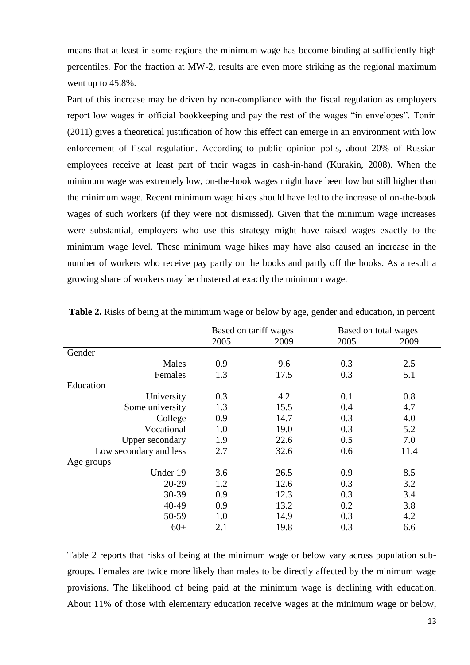means that at least in some regions the minimum wage has become binding at sufficiently high percentiles. For the fraction at MW-2, results are even more striking as the regional maximum went up to 45.8%.

Part of this increase may be driven by non-compliance with the fiscal regulation as employers report low wages in official bookkeeping and pay the rest of the wages "in envelopes". Tonin (2011) gives a theoretical justification of how this effect can emerge in an environment with low enforcement of fiscal regulation. According to public opinion polls, about 20% of Russian employees receive at least part of their wages in cash-in-hand (Kurakin, 2008). When the minimum wage was extremely low, on-the-book wages might have been low but still higher than the minimum wage. Recent minimum wage hikes should have led to the increase of on-the-book wages of such workers (if they were not dismissed). Given that the minimum wage increases were substantial, employers who use this strategy might have raised wages exactly to the minimum wage level. These minimum wage hikes may have also caused an increase in the number of workers who receive pay partly on the books and partly off the books. As a result a growing share of workers may be clustered at exactly the minimum wage.

|                        | Based on tariff wages |      |      | Based on total wages |
|------------------------|-----------------------|------|------|----------------------|
|                        | 2005                  | 2009 | 2005 | 2009                 |
| Gender                 |                       |      |      |                      |
| Males                  | 0.9                   | 9.6  | 0.3  | 2.5                  |
| Females                | 1.3                   | 17.5 | 0.3  | 5.1                  |
| Education              |                       |      |      |                      |
| University             | 0.3                   | 4.2  | 0.1  | 0.8                  |
| Some university        | 1.3                   | 15.5 | 0.4  | 4.7                  |
| College                | 0.9                   | 14.7 | 0.3  | 4.0                  |
| Vocational             | 1.0                   | 19.0 | 0.3  | 5.2                  |
| <b>Upper secondary</b> | 1.9                   | 22.6 | 0.5  | 7.0                  |
| Low secondary and less | 2.7                   | 32.6 | 0.6  | 11.4                 |
| Age groups             |                       |      |      |                      |
| Under 19               | 3.6                   | 26.5 | 0.9  | 8.5                  |
| $20-29$                | 1.2                   | 12.6 | 0.3  | 3.2                  |
| 30-39                  | 0.9                   | 12.3 | 0.3  | 3.4                  |
| 40-49                  | 0.9                   | 13.2 | 0.2  | 3.8                  |
| 50-59                  | 1.0                   | 14.9 | 0.3  | 4.2                  |
| $60+$                  | 2.1                   | 19.8 | 0.3  | 6.6                  |

**Table 2.** Risks of being at the minimum wage or below by age, gender and education, in percent

Table 2 reports that risks of being at the minimum wage or below vary across population subgroups. Females are twice more likely than males to be directly affected by the minimum wage provisions. The likelihood of being paid at the minimum wage is declining with education. About 11% of those with elementary education receive wages at the minimum wage or below,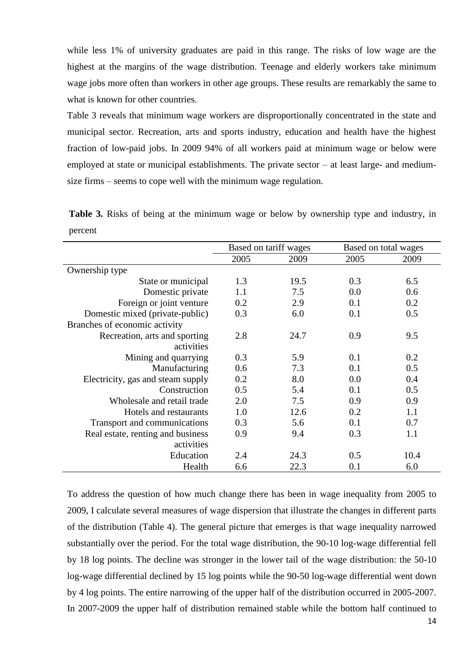while less 1% of university graduates are paid in this range. The risks of low wage are the highest at the margins of the wage distribution. Teenage and elderly workers take minimum wage jobs more often than workers in other age groups. These results are remarkably the same to what is known for other countries.

Table 3 reveals that minimum wage workers are disproportionally concentrated in the state and municipal sector. Recreation, arts and sports industry, education and health have the highest fraction of low-paid jobs. In 2009 94% of all workers paid at minimum wage or below were employed at state or municipal establishments. The private sector – at least large- and mediumsize firms – seems to cope well with the minimum wage regulation.

**Table 3.** Risks of being at the minimum wage or below by ownership type and industry, in percent

|                                   |      | Based on tariff wages |      | Based on total wages |
|-----------------------------------|------|-----------------------|------|----------------------|
|                                   | 2005 | 2009                  | 2005 | 2009                 |
| Ownership type                    |      |                       |      |                      |
| State or municipal                | 1.3  | 19.5                  | 0.3  | 6.5                  |
| Domestic private                  | 1.1  | 7.5                   | 0.0  | 0.6                  |
| Foreign or joint venture          | 0.2  | 2.9                   | 0.1  | 0.2                  |
| Domestic mixed (private-public)   | 0.3  | 6.0                   | 0.1  | 0.5                  |
| Branches of economic activity     |      |                       |      |                      |
| Recreation, arts and sporting     | 2.8  | 24.7                  | 0.9  | 9.5                  |
| activities                        |      |                       |      |                      |
| Mining and quarrying              | 0.3  | 5.9                   | 0.1  | 0.2                  |
| Manufacturing                     | 0.6  | 7.3                   | 0.1  | 0.5                  |
| Electricity, gas and steam supply | 0.2  | 8.0                   | 0.0  | 0.4                  |
| Construction                      | 0.5  | 5.4                   | 0.1  | 0.5                  |
| Wholesale and retail trade        | 2.0  | 7.5                   | 0.9  | 0.9                  |
| Hotels and restaurants            | 1.0  | 12.6                  | 0.2  | 1.1                  |
| Transport and communications      | 0.3  | 5.6                   | 0.1  | 0.7                  |
| Real estate, renting and business | 0.9  | 9.4                   | 0.3  | 1.1                  |
| activities                        |      |                       |      |                      |
| Education                         | 2.4  | 24.3                  | 0.5  | 10.4                 |
| Health                            | 6.6  | 22.3                  | 0.1  | 6.0                  |

To address the question of how much change there has been in wage inequality from 2005 to 2009, I calculate several measures of wage dispersion that illustrate the changes in different parts of the distribution (Table 4). The general picture that emerges is that wage inequality narrowed substantially over the period. For the total wage distribution, the 90-10 log-wage differential fell by 18 log points. The decline was stronger in the lower tail of the wage distribution: the 50-10 log-wage differential declined by 15 log points while the 90-50 log-wage differential went down by 4 log points. The entire narrowing of the upper half of the distribution occurred in 2005-2007. In 2007-2009 the upper half of distribution remained stable while the bottom half continued to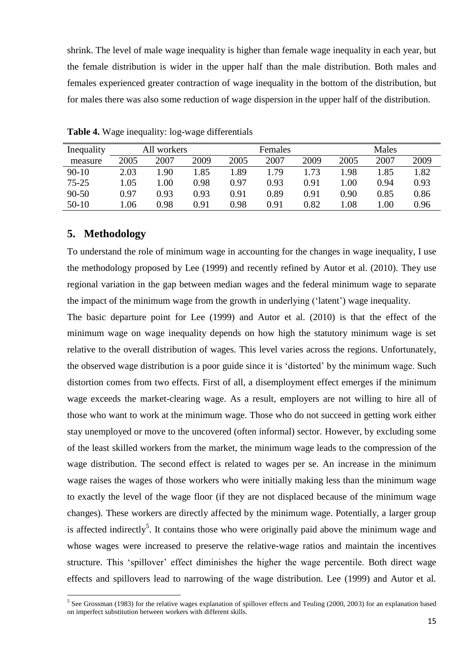shrink. The level of male wage inequality is higher than female wage inequality in each year, but the female distribution is wider in the upper half than the male distribution. Both males and females experienced greater contraction of wage inequality in the bottom of the distribution, but for males there was also some reduction of wage dispersion in the upper half of the distribution.

| Inequality |      | All workers |      |      | Females |      |      | <b>Males</b> |      |
|------------|------|-------------|------|------|---------|------|------|--------------|------|
| measure    | 2005 | 2007        | 2009 | 2005 | 2007    | 2009 | 2005 | 2007         | 2009 |
| $90-10$    | 2.03 | l.90        | 1.85 | 1.89 | .79     | 1.73 | 1.98 | 1.85         | 1.82 |
| $75 - 25$  | 1.05 | 00.1        | 0.98 | 0.97 | 0.93    | 0.91 | 1.00 | 0.94         | 0.93 |
| $90 - 50$  | 0.97 | 0.93        | 0.93 | 0.91 | 0.89    | 0.91 | 0.90 | 0.85         | 0.86 |
| $50-10$    | .06  | 0.98        | 0.91 | 0.98 | 0.91    | 0.82 | l.08 | .00          | 0.96 |

**Table 4.** Wage inequality: log-wage differentials

#### **5. Methodology**

1

To understand the role of minimum wage in accounting for the changes in wage inequality, I use the methodology proposed by Lee (1999) and recently refined by Autor et al. (2010). They use regional variation in the gap between median wages and the federal minimum wage to separate the impact of the minimum wage from the growth in underlying ('latent') wage inequality.

The basic departure point for Lee (1999) and Autor et al. (2010) is that the effect of the minimum wage on wage inequality depends on how high the statutory minimum wage is set relative to the overall distribution of wages. This level varies across the regions. Unfortunately, the observed wage distribution is a poor guide since it is 'distorted' by the minimum wage. Such distortion comes from two effects. First of all, a disemployment effect emerges if the minimum wage exceeds the market-clearing wage. As a result, employers are not willing to hire all of those who want to work at the minimum wage. Those who do not succeed in getting work either stay unemployed or move to the uncovered (often informal) sector. However, by excluding some of the least skilled workers from the market, the minimum wage leads to the compression of the wage distribution. The second effect is related to wages per se. An increase in the minimum wage raises the wages of those workers who were initially making less than the minimum wage to exactly the level of the wage floor (if they are not displaced because of the minimum wage changes). These workers are directly affected by the minimum wage. Potentially, a larger group is affected indirectly<sup>5</sup>. It contains those who were originally paid above the minimum wage and whose wages were increased to preserve the relative-wage ratios and maintain the incentives structure. This 'spillover' effect diminishes the higher the wage percentile. Both direct wage effects and spillovers lead to narrowing of the wage distribution. Lee (1999) and Autor et al.

<sup>&</sup>lt;sup>5</sup> See Grossman (1983) for the relative wages explanation of spillover effects and Teuling (2000, 2003) for an explanation based on imperfect substitution between workers with different skills.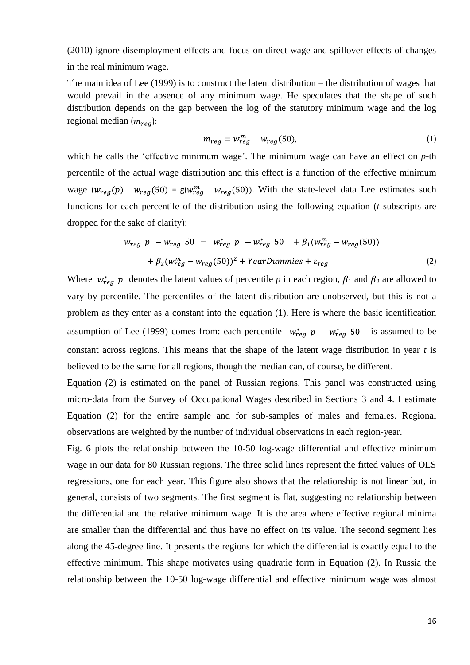(2010) ignore disemployment effects and focus on direct wage and spillover effects of changes in the real minimum wage.

The main idea of Lee (1999) is to construct the latent distribution – the distribution of wages that would prevail in the absence of any minimum wage. He speculates that the shape of such distribution depends on the gap between the log of the statutory minimum wage and the log regional median  $(m_{req})$ :

$$
m_{reg} = w_{reg}^m - w_{reg}(50),\tag{1}
$$

which he calls the 'effective minimum wage'. The minimum wage can have an effect on *p*-th percentile of the actual wage distribution and this effect is a function of the effective minimum wage  $(w_{reg}(p) - w_{reg}(50)) = g(w_{reg}^m - w_{reg}(50))$ . With the state-level data Lee estimates such functions for each percentile of the distribution using the following equation (*t* subscripts are dropped for the sake of clarity):

$$
w_{reg} \quad p - w_{reg} \quad 50 = w_{reg}^{*} \quad p - w_{reg}^{*} \quad 50 + \beta_{1}(w_{reg}^{m} - w_{reg}(50)) + \beta_{2}(w_{reg}^{m} - w_{reg}(50))^{2} + YearDummies + \varepsilon_{reg}
$$
\n(2)

Where  $w_{reg}^* p$  denotes the latent values of percentile p in each region,  $\beta_1$  and  $\beta_2$  are allowed to vary by percentile. The percentiles of the latent distribution are unobserved, but this is not a problem as they enter as a constant into the equation (1). Here is where the basic identification assumption of Lee (1999) comes from: each percentile  $w_{req}^* p - w_{req}^* 50$  is assumed to be constant across regions. This means that the shape of the latent wage distribution in year *t* is believed to be the same for all regions, though the median can, of course, be different.

Equation (2) is estimated on the panel of Russian regions. This panel was constructed using micro-data from the Survey of Occupational Wages described in Sections 3 and 4. I estimate Equation (2) for the entire sample and for sub-samples of males and females. Regional observations are weighted by the number of individual observations in each region-year.

Fig. 6 plots the relationship between the 10-50 log-wage differential and effective minimum wage in our data for 80 Russian regions. The three solid lines represent the fitted values of OLS regressions, one for each year. This figure also shows that the relationship is not linear but, in general, consists of two segments. The first segment is flat, suggesting no relationship between the differential and the relative minimum wage. It is the area where effective regional minima are smaller than the differential and thus have no effect on its value. The second segment lies along the 45-degree line. It presents the regions for which the differential is exactly equal to the effective minimum. This shape motivates using quadratic form in Equation (2). In Russia the relationship between the 10-50 log-wage differential and effective minimum wage was almost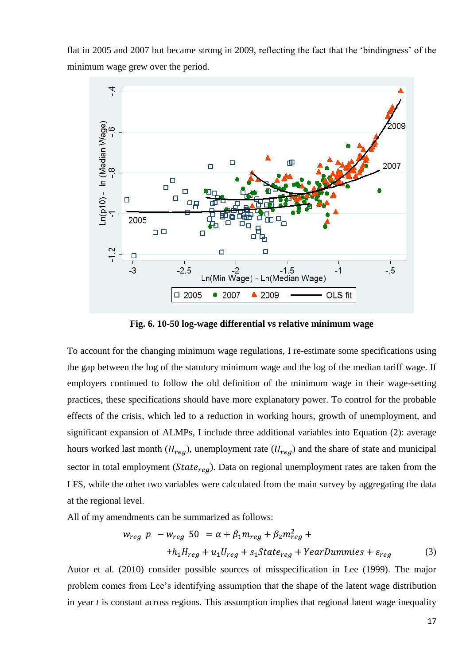flat in 2005 and 2007 but became strong in 2009, reflecting the fact that the 'bindingness' of the minimum wage grew over the period.



**Fig. 6. 10-50 log-wage differential vs relative minimum wage**

To account for the changing minimum wage regulations, I re-estimate some specifications using the gap between the log of the statutory minimum wage and the log of the median tariff wage. If employers continued to follow the old definition of the minimum wage in their wage-setting practices, these specifications should have more explanatory power. To control for the probable effects of the crisis, which led to a reduction in working hours, growth of unemployment, and significant expansion of ALMPs, I include three additional variables into Equation (2): average hours worked last month  $(H_{reg})$ , unemployment rate  $(U_{reg})$  and the share of state and municipal sector in total employment ( $State_{reg}$ ). Data on regional unemployment rates are taken from the LFS, while the other two variables were calculated from the main survey by aggregating the data at the regional level.

All of my amendments can be summarized as follows:

$$
w_{reg} p - w_{reg} 50 = \alpha + \beta_1 m_{reg} + \beta_2 m_{reg}^2 +
$$
  
+
$$
h_1 H_{reg} + u_1 U_{reg} + s_1 State_{reg} + YearDummies + \varepsilon_{reg}
$$
 (3)

Autor et al. (2010) consider possible sources of misspecification in Lee (1999). The major problem comes from Lee's identifying assumption that the shape of the latent wage distribution in year *t* is constant across regions. This assumption implies that regional latent wage inequality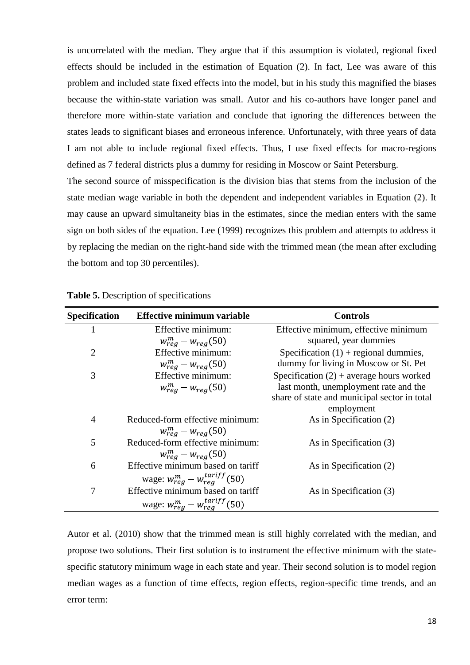is uncorrelated with the median. They argue that if this assumption is violated, regional fixed effects should be included in the estimation of Equation (2). In fact, Lee was aware of this problem and included state fixed effects into the model, but in his study this magnified the biases because the within-state variation was small. Autor and his co-authors have longer panel and therefore more within-state variation and conclude that ignoring the differences between the states leads to significant biases and erroneous inference. Unfortunately, with three years of data I am not able to include regional fixed effects. Thus, I use fixed effects for macro-regions defined as 7 federal districts plus a dummy for residing in Moscow or Saint Petersburg. The second source of misspecification is the division bias that stems from the inclusion of the

state median wage variable in both the dependent and independent variables in Equation (2). It may cause an upward simultaneity bias in the estimates, since the median enters with the same sign on both sides of the equation. Lee (1999) recognizes this problem and attempts to address it by replacing the median on the right-hand side with the trimmed mean (the mean after excluding the bottom and top 30 percentiles).

| <b>Specification</b> | <b>Effective minimum variable</b>          | <b>Controls</b>                              |
|----------------------|--------------------------------------------|----------------------------------------------|
|                      | Effective minimum:                         | Effective minimum, effective minimum         |
|                      | $w_{reg}^m - w_{reg}(50)$                  | squared, year dummies                        |
| $\overline{2}$       | Effective minimum:                         | Specification $(1)$ + regional dummies,      |
|                      | $w_{reg}^m - w_{reg}(50)$                  | dummy for living in Moscow or St. Pet        |
| 3                    | Effective minimum:                         | Specification $(2)$ + average hours worked   |
|                      | $w_{req}^m - w_{req}(50)$                  | last month, unemployment rate and the        |
|                      |                                            | share of state and municipal sector in total |
|                      |                                            | employment                                   |
| $\overline{4}$       | Reduced-form effective minimum:            | As in Specification (2)                      |
|                      | $w_{req}^m - w_{req}(50)$                  |                                              |
| 5                    | Reduced-form effective minimum:            | As in Specification (3)                      |
|                      | $w_{req}^m - w_{req}(50)$                  |                                              |
| 6                    | Effective minimum based on tariff          | As in Specification (2)                      |
|                      | wage: $w_{reg}^m - w_{reg}^{tariff}(50)$   |                                              |
| 7                    | Effective minimum based on tariff          | As in Specification (3)                      |
|                      | wage: $w_{rea}^{m} - w_{rea}^{tariff}(50)$ |                                              |

**Table 5.** Description of specifications

Autor et al. (2010) show that the trimmed mean is still highly correlated with the median, and propose two solutions. Their first solution is to instrument the effective minimum with the statespecific statutory minimum wage in each state and year. Their second solution is to model region median wages as a function of time effects, region effects, region-specific time trends, and an error term: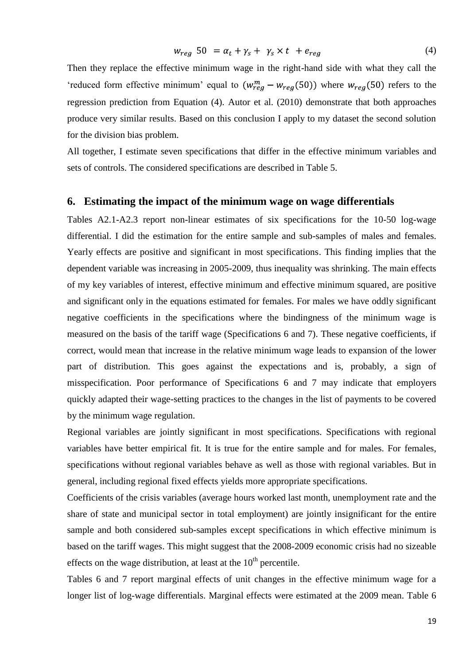$$
w_{reg} 50 = \alpha_t + \gamma_s + \gamma_s \times t + e_{reg}
$$
\n
$$
\tag{4}
$$

Then they replace the effective minimum wage in the right-hand side with what they call the 'reduced form effective minimum' equal to  $(w_{req}^m - w_{req}(50))$  where  $w_{req}(50)$  refers to the regression prediction from Equation (4). Autor et al. (2010) demonstrate that both approaches produce very similar results. Based on this conclusion I apply to my dataset the second solution for the division bias problem.

All together, I estimate seven specifications that differ in the effective minimum variables and sets of controls. The considered specifications are described in Table 5.

#### **6. Estimating the impact of the minimum wage on wage differentials**

Tables A2.1-A2.3 report non-linear estimates of six specifications for the 10-50 log-wage differential. I did the estimation for the entire sample and sub-samples of males and females. Yearly effects are positive and significant in most specifications. This finding implies that the dependent variable was increasing in 2005-2009, thus inequality was shrinking. The main effects of my key variables of interest, effective minimum and effective minimum squared, are positive and significant only in the equations estimated for females. For males we have oddly significant negative coefficients in the specifications where the bindingness of the minimum wage is measured on the basis of the tariff wage (Specifications 6 and 7). These negative coefficients, if correct, would mean that increase in the relative minimum wage leads to expansion of the lower part of distribution. This goes against the expectations and is, probably, a sign of misspecification. Poor performance of Specifications 6 and 7 may indicate that employers quickly adapted their wage-setting practices to the changes in the list of payments to be covered by the minimum wage regulation.

Regional variables are jointly significant in most specifications. Specifications with regional variables have better empirical fit. It is true for the entire sample and for males. For females, specifications without regional variables behave as well as those with regional variables. But in general, including regional fixed effects yields more appropriate specifications.

Coefficients of the crisis variables (average hours worked last month, unemployment rate and the share of state and municipal sector in total employment) are jointly insignificant for the entire sample and both considered sub-samples except specifications in which effective minimum is based on the tariff wages. This might suggest that the 2008-2009 economic crisis had no sizeable effects on the wage distribution, at least at the  $10<sup>th</sup>$  percentile.

Tables 6 and 7 report marginal effects of unit changes in the effective minimum wage for a longer list of log-wage differentials. Marginal effects were estimated at the 2009 mean. Table 6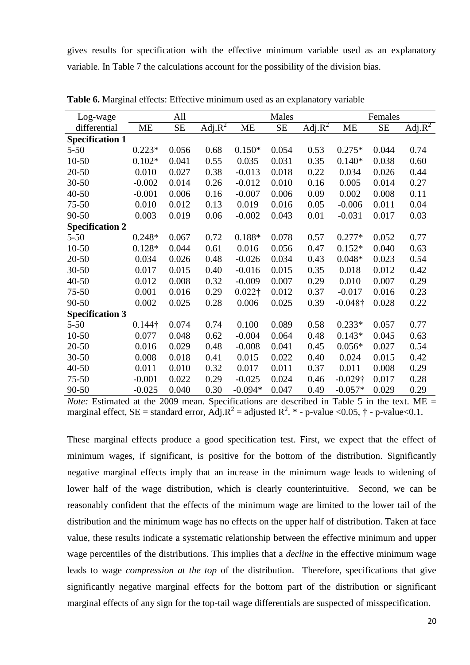gives results for specification with the effective minimum variable used as an explanatory variable. In Table 7 the calculations account for the possibility of the division bias.

| Log-wage               |                | All   |                |                                          | Males                                    |              |                                | Females   |                      |
|------------------------|----------------|-------|----------------|------------------------------------------|------------------------------------------|--------------|--------------------------------|-----------|----------------------|
| differential           | <b>ME</b>      | SE    | Adj. $R^2$     | ME                                       | <b>SE</b>                                | Adj. $R^2$   | ME                             | <b>SE</b> | $Adj.R^2$            |
| <b>Specification 1</b> |                |       |                |                                          |                                          |              |                                |           |                      |
| $5 - 50$               | $0.223*$       | 0.056 | 0.68           | $0.150*$                                 | 0.054                                    | 0.53         | $0.275*$                       | 0.044     | 0.74                 |
| $10 - 50$              | $0.102*$       | 0.041 | 0.55           | 0.035                                    | 0.031                                    | 0.35         | $0.140*$                       | 0.038     | 0.60                 |
| $20 - 50$              | 0.010          | 0.027 | 0.38           | $-0.013$                                 | 0.018                                    | 0.22         | 0.034                          | 0.026     | 0.44                 |
| $30 - 50$              | $-0.002$       | 0.014 | 0.26           | $-0.012$                                 | 0.010                                    | 0.16         | 0.005                          | 0.014     | 0.27                 |
| $40 - 50$              | $-0.001$       | 0.006 | 0.16           | $-0.007$                                 | 0.006                                    | 0.09         | 0.002                          | 0.008     | 0.11                 |
| $75 - 50$              | 0.010          | 0.012 | 0.13           | 0.019                                    | 0.016                                    | 0.05         | $-0.006$                       | 0.011     | 0.04                 |
| 90-50                  | 0.003          | 0.019 | 0.06           | $-0.002$                                 | 0.043                                    | 0.01         | $-0.031$                       | 0.017     | 0.03                 |
| <b>Specification 2</b> |                |       |                |                                          |                                          |              |                                |           |                      |
| $5 - 50$               | $0.248*$       | 0.067 | 0.72           | $0.188*$                                 | 0.078                                    | 0.57         | $0.277*$                       | 0.052     | 0.77                 |
| $10 - 50$              | $0.128*$       | 0.044 | 0.61           | 0.016                                    | 0.056                                    | 0.47         | $0.152*$                       | 0.040     | 0.63                 |
| 20-50                  | 0.034          | 0.026 | 0.48           | $-0.026$                                 | 0.034                                    | 0.43         | $0.048*$                       | 0.023     | 0.54                 |
| $30 - 50$              | 0.017          | 0.015 | 0.40           | $-0.016$                                 | 0.015                                    | 0.35         | 0.018                          | 0.012     | 0.42                 |
| 40-50                  | 0.012          | 0.008 | 0.32           | $-0.009$                                 | 0.007                                    | 0.29         | 0.010                          | 0.007     | 0.29                 |
| $75 - 50$              | 0.001          | 0.016 | 0.29           | $0.022\dagger$                           | 0.012                                    | 0.37         | $-0.017$                       | 0.016     | 0.23                 |
| 90-50                  | 0.002          | 0.025 | 0.28           | 0.006                                    | 0.025                                    | 0.39         | $-0.048\dagger$                | 0.028     | 0.22                 |
| <b>Specification 3</b> |                |       |                |                                          |                                          |              |                                |           |                      |
| $5 - 50$               | $0.144\dagger$ | 0.074 | 0.74           | 0.100                                    | 0.089                                    | 0.58         | $0.233*$                       | 0.057     | 0.77                 |
| $10 - 50$              | 0.077          | 0.048 | 0.62           | $-0.004$                                 | 0.064                                    | 0.48         | $0.143*$                       | 0.045     | 0.63                 |
| 20-50                  | 0.016          | 0.029 | 0.48           | $-0.008$                                 | 0.041                                    | 0.45         | $0.056*$                       | 0.027     | 0.54                 |
| $30 - 50$              | 0.008          | 0.018 | 0.41           | 0.015                                    | 0.022                                    | 0.40         | 0.024                          | 0.015     | 0.42                 |
| $40 - 50$              | 0.011          | 0.010 | 0.32           | 0.017                                    | 0.011                                    | 0.37         | 0.011                          | 0.008     | 0.29                 |
| $75 - 50$              | $-0.001$       | 0.022 | 0.29           | $-0.025$                                 | 0.024                                    | 0.46         | $-0.029\dagger$                | 0.017     | 0.28                 |
| 90-50<br>$\mathbf{M}$  | $-0.025$       | 0.040 | 0.30<br>$\sim$ | $-0.094*$<br>$\mathbf{r}$ , $\mathbf{r}$ | 0.047<br><b>Contract Contract Street</b> | 0.49<br>11.1 | $-0.057*$<br>$T = 11$ $T = 11$ | 0.029     | 0.29<br>$\mathbf{M}$ |

**Table 6.** Marginal effects: Effective minimum used as an explanatory variable

*Note:* Estimated at the 2009 mean. Specifications are described in Table 5 in the text. ME = marginal effect, SE = standard error,  $\text{Adj}.\text{R}^2$  = adjusted R<sup>2</sup>. \* - p-value <0.05, † - p-value<0.1.

These marginal effects produce a good specification test. First, we expect that the effect of minimum wages, if significant, is positive for the bottom of the distribution. Significantly negative marginal effects imply that an increase in the minimum wage leads to widening of lower half of the wage distribution, which is clearly counterintuitive. Second, we can be reasonably confident that the effects of the minimum wage are limited to the lower tail of the distribution and the minimum wage has no effects on the upper half of distribution. Taken at face value, these results indicate a systematic relationship between the effective minimum and upper wage percentiles of the distributions. This implies that a *decline* in the effective minimum wage leads to wage *compression at the top* of the distribution. Therefore, specifications that give significantly negative marginal effects for the bottom part of the distribution or significant marginal effects of any sign for the top-tail wage differentials are suspected of misspecification.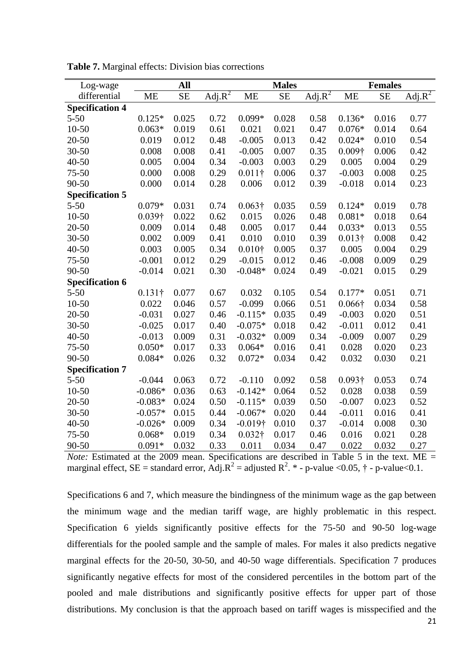| Log-wage               |                | All       |                       |                 | <b>Males</b> |           |                | <b>Females</b> |                       |
|------------------------|----------------|-----------|-----------------------|-----------------|--------------|-----------|----------------|----------------|-----------------------|
| differential           | <b>ME</b>      | <b>SE</b> | Adj. $\overline{R^2}$ | <b>ME</b>       | <b>SE</b>    | $Adj.R^2$ | <b>ME</b>      | <b>SE</b>      | Adj. $\overline{R^2}$ |
| <b>Specification 4</b> |                |           |                       |                 |              |           |                |                |                       |
| $5 - 50$               | $0.125*$       | 0.025     | 0.72                  | $0.099*$        | 0.028        | 0.58      | $0.136*$       | 0.016          | 0.77                  |
| $10 - 50$              | $0.063*$       | 0.019     | 0.61                  | 0.021           | 0.021        | 0.47      | $0.076*$       | 0.014          | 0.64                  |
| $20 - 50$              | 0.019          | 0.012     | 0.48                  | $-0.005$        | 0.013        | 0.42      | $0.024*$       | 0.010          | 0.54                  |
| $30 - 50$              | 0.008          | 0.008     | 0.41                  | $-0.005$        | 0.007        | 0.35      | $0.009\dagger$ | 0.006          | 0.42                  |
| $40 - 50$              | 0.005          | 0.004     | 0.34                  | $-0.003$        | 0.003        | 0.29      | 0.005          | 0.004          | 0.29                  |
| $75 - 50$              | 0.000          | 0.008     | 0.29                  | $0.011\dagger$  | 0.006        | 0.37      | $-0.003$       | 0.008          | 0.25                  |
| 90-50                  | 0.000          | 0.014     | 0.28                  | 0.006           | 0.012        | 0.39      | $-0.018$       | 0.014          | 0.23                  |
| <b>Specification 5</b> |                |           |                       |                 |              |           |                |                |                       |
| $5 - 50$               | $0.079*$       | 0.031     | 0.74                  | $0.063\dagger$  | 0.035        | 0.59      | $0.124*$       | 0.019          | 0.78                  |
| $10 - 50$              | $0.039\dagger$ | 0.022     | 0.62                  | 0.015           | 0.026        | 0.48      | $0.081*$       | 0.018          | 0.64                  |
| $20 - 50$              | 0.009          | 0.014     | 0.48                  | 0.005           | 0.017        | 0.44      | $0.033*$       | 0.013          | 0.55                  |
| $30 - 50$              | 0.002          | 0.009     | 0.41                  | 0.010           | 0.010        | 0.39      | $0.013\dagger$ | 0.008          | 0.42                  |
| $40 - 50$              | 0.003          | 0.005     | 0.34                  | $0.010\dagger$  | 0.005        | 0.37      | 0.005          | 0.004          | 0.29                  |
| $75 - 50$              | $-0.001$       | 0.012     | 0.29                  | $-0.015$        | 0.012        | 0.46      | $-0.008$       | 0.009          | 0.29                  |
| 90-50                  | $-0.014$       | 0.021     | 0.30                  | $-0.048*$       | 0.024        | 0.49      | $-0.021$       | 0.015          | 0.29                  |
| <b>Specification 6</b> |                |           |                       |                 |              |           |                |                |                       |
| $5 - 50$               | $0.131\dagger$ | 0.077     | 0.67                  | 0.032           | 0.105        | 0.54      | $0.177*$       | 0.051          | 0.71                  |
| $10 - 50$              | 0.022          | 0.046     | 0.57                  | $-0.099$        | 0.066        | 0.51      | $0.066\dagger$ | 0.034          | 0.58                  |
| $20 - 50$              | $-0.031$       | 0.027     | 0.46                  | $-0.115*$       | 0.035        | 0.49      | $-0.003$       | 0.020          | 0.51                  |
| $30 - 50$              | $-0.025$       | 0.017     | 0.40                  | $-0.075*$       | 0.018        | 0.42      | $-0.011$       | 0.012          | 0.41                  |
| $40 - 50$              | $-0.013$       | 0.009     | 0.31                  | $-0.032*$       | 0.009        | 0.34      | $-0.009$       | 0.007          | 0.29                  |
| $75 - 50$              | $0.050*$       | 0.017     | 0.33                  | $0.064*$        | 0.016        | 0.41      | 0.028          | 0.020          | 0.23                  |
| 90-50                  | $0.084*$       | 0.026     | 0.32                  | $0.072*$        | 0.034        | 0.42      | 0.032          | 0.030          | 0.21                  |
| <b>Specification 7</b> |                |           |                       |                 |              |           |                |                |                       |
| $5 - 50$               | $-0.044$       | 0.063     | 0.72                  | $-0.110$        | 0.092        | 0.58      | $0.093\dagger$ | 0.053          | 0.74                  |
| $10 - 50$              | $-0.086*$      | 0.036     | 0.63                  | $-0.142*$       | 0.064        | 0.52      | 0.028          | 0.038          | 0.59                  |
| $20 - 50$              | $-0.083*$      | 0.024     | 0.50                  | $-0.115*$       | 0.039        | 0.50      | $-0.007$       | 0.023          | 0.52                  |
| $30 - 50$              | $-0.057*$      | 0.015     | 0.44                  | $-0.067*$       | 0.020        | 0.44      | $-0.011$       | 0.016          | 0.41                  |
| 40-50                  | $-0.026*$      | 0.009     | 0.34                  | $-0.019\dagger$ | 0.010        | 0.37      | $-0.014$       | 0.008          | 0.30                  |
| $75 - 50$              | $0.068*$       | 0.019     | 0.34                  | $0.032\dagger$  | 0.017        | 0.46      | 0.016          | 0.021          | 0.28                  |
| 90-50                  | $0.091*$       | 0.032     | 0.33                  | 0.011           | 0.034        | 0.47      | 0.022          | 0.032          | 0.27                  |

**Table 7.** Marginal effects: Division bias corrections

*Note:* Estimated at the 2009 mean. Specifications are described in Table 5 in the text. ME = marginal effect, SE = standard error,  $\text{Adj}.\text{R}^2$  = adjusted R<sup>2</sup>. \* - p-value <0.05, † - p-value<0.1.

Specifications 6 and 7, which measure the bindingness of the minimum wage as the gap between the minimum wage and the median tariff wage, are highly problematic in this respect. Specification 6 yields significantly positive effects for the 75-50 and 90-50 log-wage differentials for the pooled sample and the sample of males. For males it also predicts negative marginal effects for the 20-50, 30-50, and 40-50 wage differentials. Specification 7 produces significantly negative effects for most of the considered percentiles in the bottom part of the pooled and male distributions and significantly positive effects for upper part of those distributions. My conclusion is that the approach based on tariff wages is misspecified and the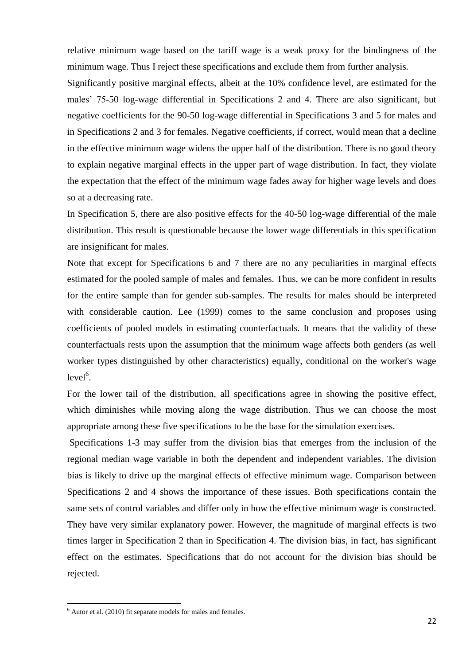relative minimum wage based on the tariff wage is a weak proxy for the bindingness of the minimum wage. Thus I reject these specifications and exclude them from further analysis.

Significantly positive marginal effects, albeit at the 10% confidence level, are estimated for the males' 75-50 log-wage differential in Specifications 2 and 4. There are also significant, but negative coefficients for the 90-50 log-wage differential in Specifications 3 and 5 for males and in Specifications 2 and 3 for females. Negative coefficients, if correct, would mean that a decline in the effective minimum wage widens the upper half of the distribution. There is no good theory to explain negative marginal effects in the upper part of wage distribution. In fact, they violate the expectation that the effect of the minimum wage fades away for higher wage levels and does so at a decreasing rate.

In Specification 5, there are also positive effects for the 40-50 log-wage differential of the male distribution. This result is questionable because the lower wage differentials in this specification are insignificant for males.

Note that except for Specifications 6 and 7 there are no any peculiarities in marginal effects estimated for the pooled sample of males and females. Thus, we can be more confident in results for the entire sample than for gender sub-samples. The results for males should be interpreted with considerable caution. Lee (1999) comes to the same conclusion and proposes using coefficients of pooled models in estimating counterfactuals. It means that the validity of these counterfactuals rests upon the assumption that the minimum wage affects both genders (as well worker types distinguished by other characteristics) equally, conditional on the worker's wage  $level<sup>6</sup>$ .

For the lower tail of the distribution, all specifications agree in showing the positive effect, which diminishes while moving along the wage distribution. Thus we can choose the most appropriate among these five specifications to be the base for the simulation exercises.

Specifications 1-3 may suffer from the division bias that emerges from the inclusion of the regional median wage variable in both the dependent and independent variables. The division bias is likely to drive up the marginal effects of effective minimum wage. Comparison between Specifications 2 and 4 shows the importance of these issues. Both specifications contain the same sets of control variables and differ only in how the effective minimum wage is constructed. They have very similar explanatory power. However, the magnitude of marginal effects is two times larger in Specification 2 than in Specification 4. The division bias, in fact, has significant effect on the estimates. Specifications that do not account for the division bias should be rejected.

**.** 

 $6$  Autor et al. (2010) fit separate models for males and females.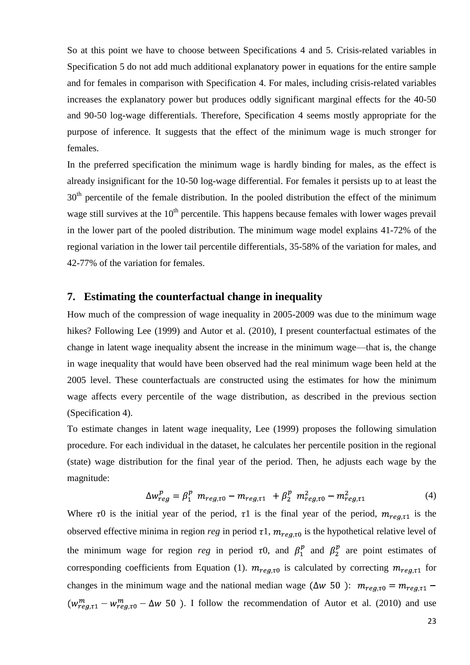So at this point we have to choose between Specifications 4 and 5. Crisis-related variables in Specification 5 do not add much additional explanatory power in equations for the entire sample and for females in comparison with Specification 4. For males, including crisis-related variables increases the explanatory power but produces oddly significant marginal effects for the 40-50 and 90-50 log-wage differentials. Therefore, Specification 4 seems mostly appropriate for the purpose of inference. It suggests that the effect of the minimum wage is much stronger for females.

In the preferred specification the minimum wage is hardly binding for males, as the effect is already insignificant for the 10-50 log-wage differential. For females it persists up to at least the  $30<sup>th</sup>$  percentile of the female distribution. In the pooled distribution the effect of the minimum wage still survives at the  $10<sup>th</sup>$  percentile. This happens because females with lower wages prevail in the lower part of the pooled distribution. The minimum wage model explains 41-72% of the regional variation in the lower tail percentile differentials, 35-58% of the variation for males, and 42-77% of the variation for females.

#### **7. Estimating the counterfactual change in inequality**

How much of the compression of wage inequality in 2005-2009 was due to the minimum wage hikes? Following Lee (1999) and Autor et al. (2010), I present counterfactual estimates of the change in latent wage inequality absent the increase in the minimum wage—that is, the change in wage inequality that would have been observed had the real minimum wage been held at the 2005 level. These counterfactuals are constructed using the estimates for how the minimum wage affects every percentile of the wage distribution, as described in the previous section (Specification 4).

To estimate changes in latent wage inequality, Lee (1999) proposes the following simulation procedure. For each individual in the dataset, he calculates her percentile position in the regional (state) wage distribution for the final year of the period. Then, he adjusts each wage by the magnitude:

$$
\Delta w_{reg}^p = \beta_1^p \ m_{reg,\tau 0} - m_{reg,\tau 1} \ + \beta_2^p \ m_{reg,\tau 0}^2 - m_{reg,\tau 1}^2 \tag{4}
$$

Where  $\tau$ 0 is the initial year of the period,  $\tau$ 1 is the final year of the period,  $m_{reg,\tau}$  is the observed effective minima in region *reg* in period  $\tau$ 1,  $m_{reg,\tau}$  is the hypothetical relative level of the minimum wage for region *reg* in period  $\tau$ 0, and  $\beta_1^p$  and  $\beta_2^p$  are point estimates of corresponding coefficients from Equation (1).  $m_{reg,\tau0}$  is calculated by correcting  $m_{reg,\tau1}$  for changes in the minimum wage and the national median wage ( $\Delta w$  50):  $m_{re a,\tau 0} = m_{re a,\tau 1}$  $(w_{real,1}^m - w_{real,0}^m - \Delta w_{1}^m)$ . I follow the recommendation of Autor et al. (2010) and use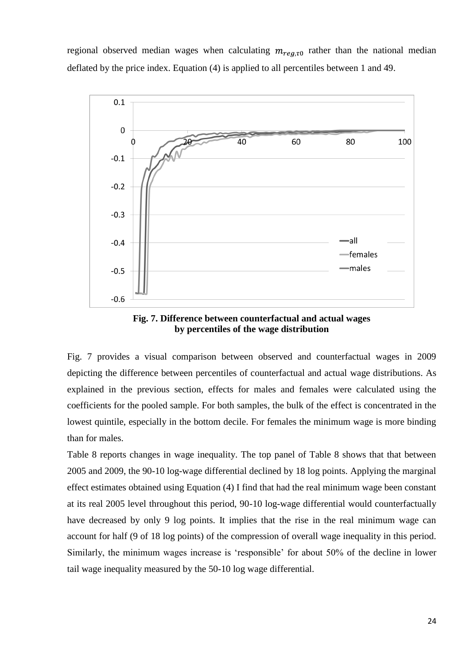regional observed median wages when calculating  $m_{req, \tau 0}$  rather than the national median deflated by the price index. Equation (4) is applied to all percentiles between 1 and 49.



**Fig. 7. Difference between counterfactual and actual wages by percentiles of the wage distribution**

Fig. 7 provides a visual comparison between observed and counterfactual wages in 2009 depicting the difference between percentiles of counterfactual and actual wage distributions. As explained in the previous section, effects for males and females were calculated using the coefficients for the pooled sample. For both samples, the bulk of the effect is concentrated in the lowest quintile, especially in the bottom decile. For females the minimum wage is more binding than for males.

Table 8 reports changes in wage inequality. The top panel of Table 8 shows that that between 2005 and 2009, the 90-10 log-wage differential declined by 18 log points. Applying the marginal effect estimates obtained using Equation (4) I find that had the real minimum wage been constant at its real 2005 level throughout this period, 90-10 log-wage differential would counterfactually have decreased by only 9 log points. It implies that the rise in the real minimum wage can account for half (9 of 18 log points) of the compression of overall wage inequality in this period. Similarly, the minimum wages increase is 'responsible' for about 50% of the decline in lower tail wage inequality measured by the 50-10 log wage differential.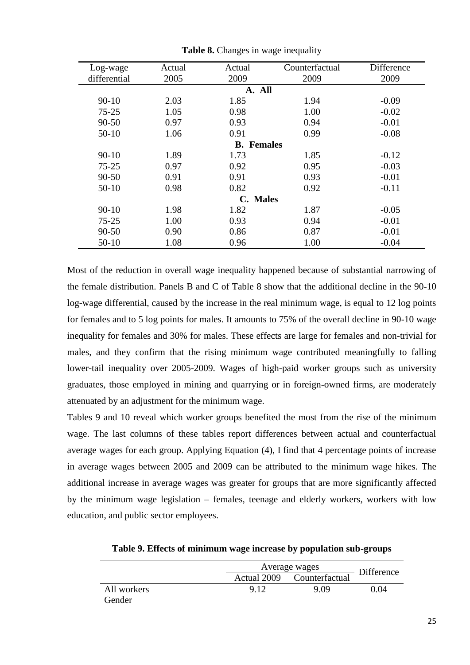| Actual | Actual       | Counterfactual | Difference                                  |
|--------|--------------|----------------|---------------------------------------------|
| 2005   | 2009         | 2009           | 2009                                        |
|        |              |                |                                             |
| 2.03   | 1.85         | 1.94           | $-0.09$                                     |
| 1.05   | 0.98         | 1.00           | $-0.02$                                     |
| 0.97   | 0.93         | 0.94           | $-0.01$                                     |
| 1.06   | 0.91         | 0.99           | $-0.08$                                     |
|        |              |                |                                             |
| 1.89   | 1.73         | 1.85           | $-0.12$                                     |
| 0.97   | 0.92         | 0.95           | $-0.03$                                     |
| 0.91   | 0.91         | 0.93           | $-0.01$                                     |
| 0.98   | 0.82         | 0.92           | $-0.11$                                     |
|        | $\mathbb{C}$ |                |                                             |
| 1.98   | 1.82         | 1.87           | $-0.05$                                     |
| 1.00   | 0.93         | 0.94           | $-0.01$                                     |
| 0.90   | 0.86         | 0.87           | $-0.01$                                     |
| 1.08   | 0.96         | 1.00           | $-0.04$                                     |
|        |              |                | A. All<br><b>B.</b> Females<br><b>Males</b> |

**Table 8.** Changes in wage inequality

Most of the reduction in overall wage inequality happened because of substantial narrowing of the female distribution. Panels B and C of Table 8 show that the additional decline in the 90-10 log-wage differential, caused by the increase in the real minimum wage, is equal to 12 log points for females and to 5 log points for males. It amounts to 75% of the overall decline in 90-10 wage inequality for females and 30% for males. These effects are large for females and non-trivial for males, and they confirm that the rising minimum wage contributed meaningfully to falling lower-tail inequality over 2005-2009. Wages of high-paid worker groups such as university graduates, those employed in mining and quarrying or in foreign-owned firms, are moderately attenuated by an adjustment for the minimum wage.

Tables 9 and 10 reveal which worker groups benefited the most from the rise of the minimum wage. The last columns of these tables report differences between actual and counterfactual average wages for each group. Applying Equation (4), I find that 4 percentage points of increase in average wages between 2005 and 2009 can be attributed to the minimum wage hikes. The additional increase in average wages was greater for groups that are more significantly affected by the minimum wage legislation – females, teenage and elderly workers, workers with low education, and public sector employees.

|             |      | Average wages              |            |  |
|-------------|------|----------------------------|------------|--|
|             |      | Actual 2009 Counterfactual | Difference |  |
| All workers | 9.12 | 9.09                       | 0.04       |  |
| Gender      |      |                            |            |  |

**Table 9. Effects of minimum wage increase by population sub-groups**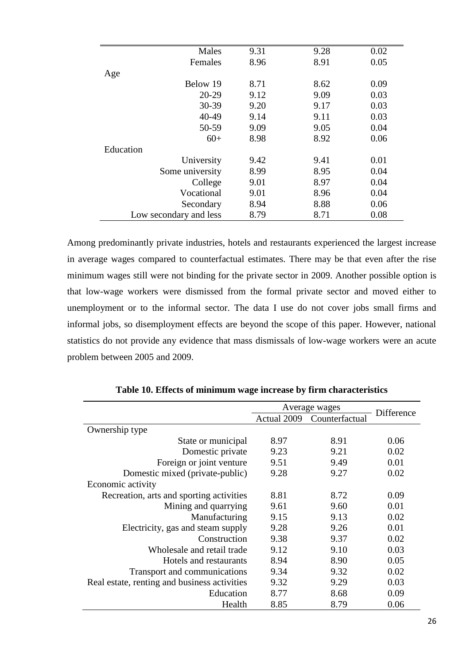| Males                  | 9.31 | 9.28 | 0.02 |
|------------------------|------|------|------|
|                        |      |      |      |
| Females                | 8.96 | 8.91 | 0.05 |
| Age                    |      |      |      |
| Below 19               | 8.71 | 8.62 | 0.09 |
| $20 - 29$              | 9.12 | 9.09 | 0.03 |
| 30-39                  | 9.20 | 9.17 | 0.03 |
| 40-49                  | 9.14 | 9.11 | 0.03 |
| 50-59                  | 9.09 | 9.05 | 0.04 |
| $60+$                  | 8.98 | 8.92 | 0.06 |
| Education              |      |      |      |
| University             | 9.42 | 9.41 | 0.01 |
| Some university        | 8.99 | 8.95 | 0.04 |
| College                | 9.01 | 8.97 | 0.04 |
| Vocational             | 9.01 | 8.96 | 0.04 |
| Secondary              | 8.94 | 8.88 | 0.06 |
| Low secondary and less | 8.79 | 8.71 | 0.08 |

Among predominantly private industries, hotels and restaurants experienced the largest increase in average wages compared to counterfactual estimates. There may be that even after the rise minimum wages still were not binding for the private sector in 2009. Another possible option is that low-wage workers were dismissed from the formal private sector and moved either to unemployment or to the informal sector. The data I use do not cover jobs small firms and informal jobs, so disemployment effects are beyond the scope of this paper. However, national statistics do not provide any evidence that mass dismissals of low-wage workers were an acute problem between 2005 and 2009.

|                                              |             | Average wages  | Difference |
|----------------------------------------------|-------------|----------------|------------|
|                                              | Actual 2009 | Counterfactual |            |
| Ownership type                               |             |                |            |
| State or municipal                           | 8.97        | 8.91           | 0.06       |
| Domestic private                             | 9.23        | 9.21           | 0.02       |
| Foreign or joint venture                     | 9.51        | 9.49           | 0.01       |
| Domestic mixed (private-public)              | 9.28        | 9.27           | 0.02       |
| Economic activity                            |             |                |            |
| Recreation, arts and sporting activities     | 8.81        | 8.72           | 0.09       |
| Mining and quarrying                         | 9.61        | 9.60           | 0.01       |
| Manufacturing                                | 9.15        | 9.13           | 0.02       |
| Electricity, gas and steam supply            | 9.28        | 9.26           | 0.01       |
| Construction                                 | 9.38        | 9.37           | 0.02       |
| Wholesale and retail trade                   | 9.12        | 9.10           | 0.03       |
| Hotels and restaurants                       | 8.94        | 8.90           | 0.05       |
| Transport and communications                 | 9.34        | 9.32           | 0.02       |
| Real estate, renting and business activities | 9.32        | 9.29           | 0.03       |
| Education                                    | 8.77        | 8.68           | 0.09       |
| Health                                       | 8.85        | 8.79           | 0.06       |

**Table 10. Effects of minimum wage increase by firm characteristics**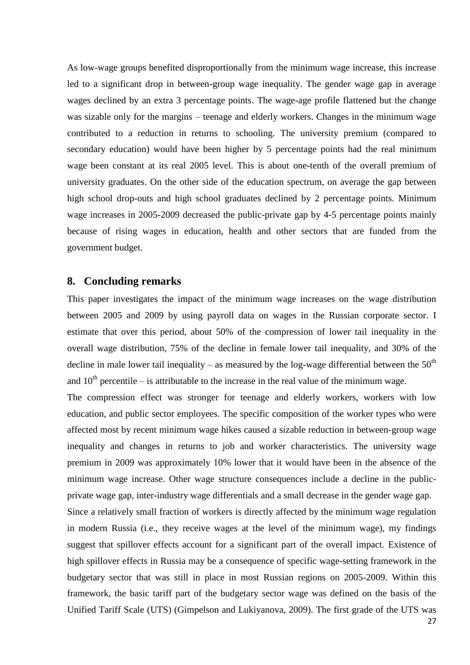As low-wage groups benefited disproportionally from the minimum wage increase, this increase led to a significant drop in between-group wage inequality. The gender wage gap in average wages declined by an extra 3 percentage points. The wage-age profile flattened but the change was sizable only for the margins – teenage and elderly workers. Changes in the minimum wage contributed to a reduction in returns to schooling. The university premium (compared to secondary education) would have been higher by 5 percentage points had the real minimum wage been constant at its real 2005 level. This is about one-tenth of the overall premium of university graduates. On the other side of the education spectrum, on average the gap between high school drop-outs and high school graduates declined by 2 percentage points. Minimum wage increases in 2005-2009 decreased the public-private gap by 4-5 percentage points mainly because of rising wages in education, health and other sectors that are funded from the government budget.

## **8. Concluding remarks**

This paper investigates the impact of the minimum wage increases on the wage distribution between 2005 and 2009 by using payroll data on wages in the Russian corporate sector. I estimate that over this period, about 50% of the compression of lower tail inequality in the overall wage distribution, 75% of the decline in female lower tail inequality, and 30% of the decline in male lower tail inequality – as measured by the log-wage differential between the  $50<sup>th</sup>$ and  $10<sup>th</sup>$  percentile – is attributable to the increase in the real value of the minimum wage.

The compression effect was stronger for teenage and elderly workers, workers with low education, and public sector employees. The specific composition of the worker types who were affected most by recent minimum wage hikes caused a sizable reduction in between-group wage inequality and changes in returns to job and worker characteristics. The university wage premium in 2009 was approximately 10% lower that it would have been in the absence of the minimum wage increase. Other wage structure consequences include a decline in the publicprivate wage gap, inter-industry wage differentials and a small decrease in the gender wage gap.

Since a relatively small fraction of workers is directly affected by the minimum wage regulation in modern Russia (i.e., they receive wages at the level of the minimum wage), my findings suggest that spillover effects account for a significant part of the overall impact. Existence of high spillover effects in Russia may be a consequence of specific wage-setting framework in the budgetary sector that was still in place in most Russian regions on 2005-2009. Within this framework, the basic tariff part of the budgetary sector wage was defined on the basis of the Unified Tariff Scale (UTS) (Gimpelson and Lukiyanova, 2009). The first grade of the UTS was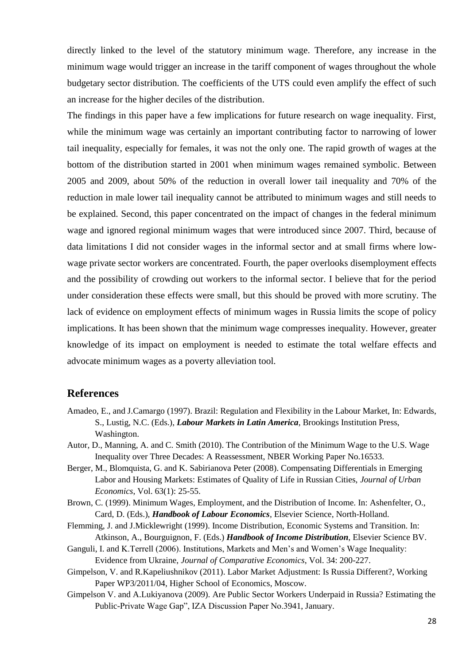directly linked to the level of the statutory minimum wage. Therefore, any increase in the minimum wage would trigger an increase in the tariff component of wages throughout the whole budgetary sector distribution. The coefficients of the UTS could even amplify the effect of such an increase for the higher deciles of the distribution.

The findings in this paper have a few implications for future research on wage inequality. First, while the minimum wage was certainly an important contributing factor to narrowing of lower tail inequality, especially for females, it was not the only one. The rapid growth of wages at the bottom of the distribution started in 2001 when minimum wages remained symbolic. Between 2005 and 2009, about 50% of the reduction in overall lower tail inequality and 70% of the reduction in male lower tail inequality cannot be attributed to minimum wages and still needs to be explained. Second, this paper concentrated on the impact of changes in the federal minimum wage and ignored regional minimum wages that were introduced since 2007. Third, because of data limitations I did not consider wages in the informal sector and at small firms where lowwage private sector workers are concentrated. Fourth, the paper overlooks disemployment effects and the possibility of crowding out workers to the informal sector. I believe that for the period under consideration these effects were small, but this should be proved with more scrutiny. The lack of evidence on employment effects of minimum wages in Russia limits the scope of policy implications. It has been shown that the minimum wage compresses inequality. However, greater knowledge of its impact on employment is needed to estimate the total welfare effects and advocate minimum wages as a poverty alleviation tool.

# **References**

- Amadeo, E., and J.Camargo (1997). Brazil: Regulation and Flexibility in the Labour Market, In: Edwards, S., Lustig, N.C. (Eds.), *Labour Markets in Latin America*, Brookings Institution Press, Washington.
- Autor, D., Manning, A. and C. Smith (2010). The Contribution of the Minimum Wage to the U.S. Wage Inequality over Three Decades: A Reassessment, NBER Working Paper No.16533.
- Berger, M., Blomquista, G. and K. Sabirianova Peter (2008). Compensating Differentials in Emerging Labor and Housing Markets: Estimates of Quality of Life in Russian Cities, *Journal of Urban Economics*, Vol. 63(1): 25-55.
- Brown, C. (1999). Minimum Wages, Employment, and the Distribution of Income. In: Ashenfelter, O., Card, D. (Eds.), *Handbook of Labour Economics*, Elsevier Science, North-Holland.
- Flemming, J. and J.Micklewright (1999). Income Distribution, Economic Systems and Transition. In: Atkinson, A., Bourguignon, F. (Eds.) *Handbook of Income Distribution*, Elsevier Science BV.
- Ganguli, I. and K.Terrell (2006). Institutions, Markets and Men's and Women's Wage Inequality: Evidence from Ukraine, *Journal of Comparative Economics*, Vol. 34: 200-227.
- Gimpelson, V. and R.Kapeliushnikov (2011). Labor Market Adjustment: Is Russia Different?, Working Paper WP3/2011/04, Higher School of Economics, Moscow.
- Gimpelson V. and A.Lukiyanova (2009). Are Public Sector Workers Underpaid in Russia? Estimating the Public-Private Wage Gap", IZA Discussion Paper No.3941, January.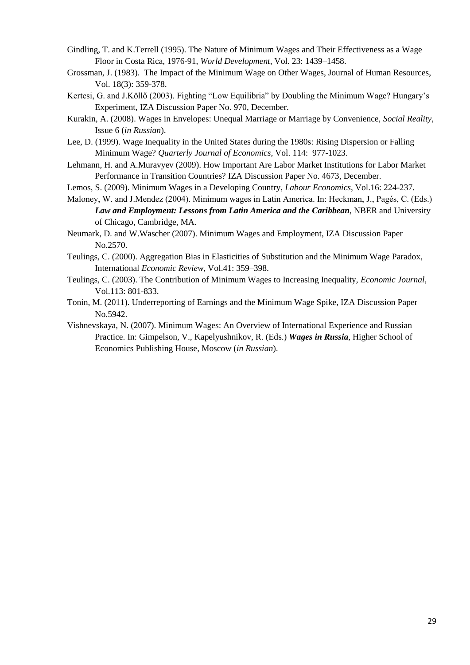- Gindling, T. and K.Terrell (1995). The Nature of Minimum Wages and Their Effectiveness as a Wage Floor in Costa Rica, 1976-91, *World Development*, Vol. 23: 1439–1458.
- Grossman, J. (1983). The Impact of the Minimum Wage on Other Wages, Journal of Human Resources, Vol. 18(3): 359-378.
- Kertesi, G. and J.Köllő (2003). Fighting "Low Equilibria" by Doubling the Minimum Wage? Hungary's Experiment, IZA Discussion Paper No. 970, December.
- Kurakin, A. (2008). Wages in Envelopes: Unequal Marriage or Marriage by Convenience, *Social Reality*, Issue 6 (*in Russian*).
- Lee, D. (1999). Wage Inequality in the United States during the 1980s: Rising Dispersion or Falling Minimum Wage? *Quarterly Journal of Economics*, Vol. 114: 977-1023.
- Lehmann, H. and A.Muravyev (2009). How Important Are Labor Market Institutions for Labor Market Performance in Transition Countries? IZA Discussion Paper No. 4673, December.
- Lemos, S. (2009). Minimum Wages in a Developing Country, *Labour Economics*, Vol.16: 224-237.
- Maloney, W. and J.Mendez (2004). Minimum wages in Latin America. In: Heckman, J., Pagés, C. (Eds.) *Law and Employment: Lessons from Latin America and the Caribbean*, NBER and University of Chicago, Cambridge, MA.
- Neumark, D. and W.Wascher (2007). Minimum Wages and Employment, IZA Discussion Paper No.2570.
- Teulings, C. (2000). Aggregation Bias in Elasticities of Substitution and the Minimum Wage Paradox, International *Economic Review*, Vol.41: 359–398.
- Teulings, C. (2003). The Contribution of Minimum Wages to Increasing Inequality, *Economic Journal*, Vol.113: 801-833.
- Tonin, M. (2011). Underreporting of Earnings and the Minimum Wage Spike, IZA Discussion Paper No.5942.
- Vishnevskaya, N. (2007). Minimum Wages: An Overview of International Experience and Russian Practice. In: Gimpelson, V., Kapelyushnikov, R. (Eds.) *Wages in Russia*, Higher School of Economics Publishing House, Moscow (*in Russian*).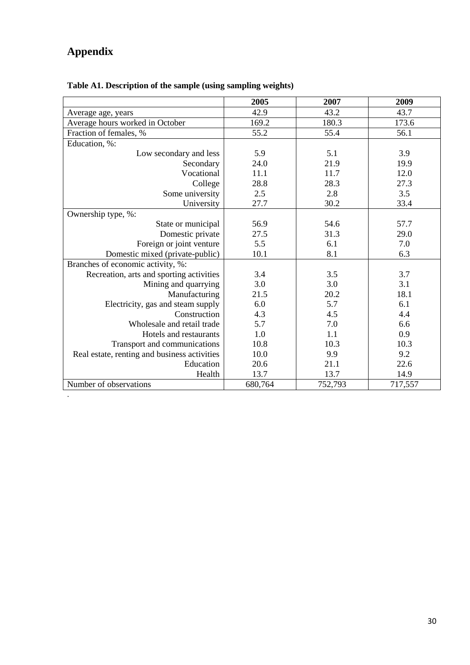# **Appendix**

.

|                                              | 2005    | 2007    | 2009    |
|----------------------------------------------|---------|---------|---------|
| Average age, years                           | 42.9    | 43.2    | 43.7    |
| Average hours worked in October              | 169.2   | 180.3   | 173.6   |
| Fraction of females, %                       | 55.2    | 55.4    | 56.1    |
| Education, %:                                |         |         |         |
| Low secondary and less                       | 5.9     | 5.1     | 3.9     |
| Secondary                                    | 24.0    | 21.9    | 19.9    |
| Vocational                                   | 11.1    | 11.7    | 12.0    |
| College                                      | 28.8    | 28.3    | 27.3    |
| Some university                              | 2.5     | 2.8     | 3.5     |
| University                                   | 27.7    | 30.2    | 33.4    |
| Ownership type, %:                           |         |         |         |
| State or municipal                           | 56.9    | 54.6    | 57.7    |
| Domestic private                             | 27.5    | 31.3    | 29.0    |
| Foreign or joint venture                     | 5.5     | 6.1     | 7.0     |
| Domestic mixed (private-public)              | 10.1    | 8.1     | 6.3     |
| Branches of economic activity, %:            |         |         |         |
| Recreation, arts and sporting activities     | 3.4     | 3.5     | 3.7     |
| Mining and quarrying                         | 3.0     | 3.0     | 3.1     |
| Manufacturing                                | 21.5    | 20.2    | 18.1    |
| Electricity, gas and steam supply            | 6.0     | 5.7     | 6.1     |
| Construction                                 | 4.3     | 4.5     | 4.4     |
| Wholesale and retail trade                   | 5.7     | 7.0     | 6.6     |
| Hotels and restaurants                       | 1.0     | 1.1     | 0.9     |
| Transport and communications                 | 10.8    | 10.3    | 10.3    |
| Real estate, renting and business activities | 10.0    | 9.9     | 9.2     |
| Education                                    | 20.6    | 21.1    | 22.6    |
| Health                                       | 13.7    | 13.7    | 14.9    |
| Number of observations                       | 680,764 | 752,793 | 717,557 |

# **Table A1. Description of the sample (using sampling weights)**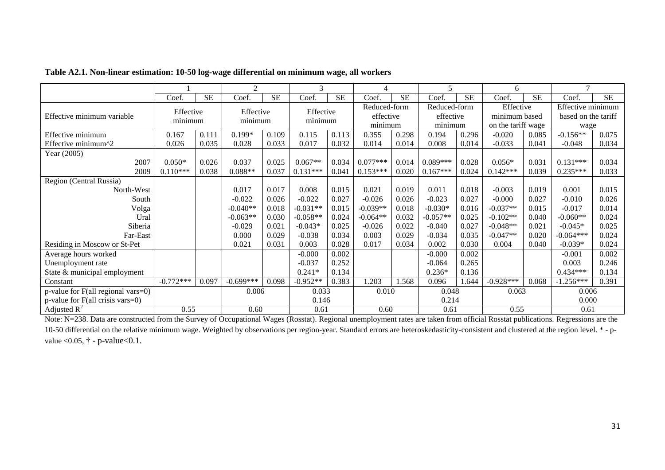|                                           |                      |           | $\overline{2}$       |           | 3                    |           |                      |           | 5                    |           | 6                  |           | $\mathcal{I}$       |           |
|-------------------------------------------|----------------------|-----------|----------------------|-----------|----------------------|-----------|----------------------|-----------|----------------------|-----------|--------------------|-----------|---------------------|-----------|
|                                           | Coef.                | <b>SE</b> | Coef.                | <b>SE</b> | Coef.                | <b>SE</b> | Coef.                | <b>SE</b> | Coef.                | <b>SE</b> | Coef.              | <b>SE</b> | Coef.               | <b>SE</b> |
| Effective minimum variable                | Effective<br>minimum |           | Effective<br>minimum |           | Effective<br>minimum |           | Reduced-form         |           | Reduced-form         |           | Effective          |           | Effective minimum   |           |
|                                           |                      |           |                      |           |                      |           | effective<br>minimum |           | effective<br>minimum |           | minimum based      |           | based on the tariff |           |
|                                           |                      |           |                      |           |                      |           |                      |           |                      |           | on the tariff wage |           | wage                |           |
| Effective minimum                         | 0.167                | 0.111     | $0.199*$             | 0.109     | 0.115                | 0.113     | 0.355                | 0.298     | 0.194                | 0.296     | $-0.020$           | 0.085     | $-0.156**$          | 0.075     |
| Effective minimum^2                       | 0.026                | 0.035     | 0.028                | 0.033     | 0.017                | 0.032     | 0.014                | 0.014     | 0.008                | 0.014     | $-0.033$           | 0.041     | $-0.048$            | 0.034     |
| Year (2005)                               |                      |           |                      |           |                      |           |                      |           |                      |           |                    |           |                     |           |
| 2007                                      | $0.050*$             | 0.026     | 0.037                | 0.025     | $0.067**$            | 0.034     | $0.077***$           | 0.014     | $0.089***$           | 0.028     | $0.056*$           | 0.031     | $0.131***$          | 0.034     |
| 2009                                      | $0.110***$           | 0.038     | $0.088**$            | 0.037     | $0.131***$           | 0.041     | $0.153***$           | 0.020     | $0.167***$           | 0.024     | $0.142***$         | 0.039     | $0.235***$          | 0.033     |
| Region (Central Russia)                   |                      |           |                      |           |                      |           |                      |           |                      |           |                    |           |                     |           |
| North-West                                |                      |           | 0.017                | 0.017     | 0.008                | 0.015     | 0.021                | 0.019     | 0.011                | 0.018     | $-0.003$           | 0.019     | 0.001               | 0.015     |
| South                                     |                      |           | $-0.022$             | 0.026     | $-0.022$             | 0.027     | $-0.026$             | 0.026     | $-0.023$             | 0.027     | $-0.000$           | 0.027     | $-0.010$            | 0.026     |
| Volga                                     |                      |           | $-0.040**$           | 0.018     | $-0.031**$           | 0.015     | $-0.039**$           | 0.018     | $-0.030*$            | 0.016     | $-0.037**$         | 0.015     | $-0.017$            | 0.014     |
| Ural                                      |                      |           | $-0.063**$           | 0.030     | $-0.058**$           | 0.024     | $-0.064**$           | 0.032     | $-0.057**$           | 0.025     | $-0.102**$         | 0.040     | $-0.060**$          | 0.024     |
| Siberia                                   |                      |           | $-0.029$             | 0.021     | $-0.043*$            | 0.025     | $-0.026$             | 0.022     | $-0.040$             | 0.027     | $-0.048**$         | 0.021     | $-0.045*$           | 0.025     |
| Far-East                                  |                      |           | 0.000                | 0.029     | $-0.038$             | 0.034     | 0.003                | 0.029     | $-0.034$             | 0.035     | $-0.047**$         | 0.020     | $-0.064***$         | 0.024     |
| Residing in Moscow or St-Pet              |                      |           | 0.021                | 0.031     | 0.003                | 0.028     | 0.017                | 0.034     | 0.002                | 0.030     | 0.004              | 0.040     | $-0.039*$           | 0.024     |
| Average hours worked                      |                      |           |                      |           | $-0.000$             | 0.002     |                      |           | $-0.000$             | 0.002     |                    |           | $-0.001$            | 0.002     |
| Unemployment rate                         |                      |           |                      |           | $-0.037$             | 0.252     |                      |           | $-0.064$             | 0.265     |                    |           | 0.003               | 0.246     |
| State & municipal employment              |                      |           |                      |           | $0.241*$             | 0.134     |                      |           | $0.236*$             | 0.136     |                    |           | $0.434***$          | 0.134     |
| Constant                                  | $-0.772***$          | 0.097     | $-0.699***$          | 0.098     | $-0.952**$           | 0.383     | .203                 | 1.568     | 0.096                | 1.644     | $-0.928***$        | 0.068     | $-1.256***$         | 0.391     |
| p-value for F(all regional vars=0)        |                      |           | 0.006                |           | 0.033                |           | 0.010                |           | 0.048                |           | 0.063              |           | 0.006               |           |
| p-value for $F(\text{all crisis vars}=0)$ |                      |           |                      |           | 0.146                |           |                      |           | 0.214                |           |                    |           | 0.000               |           |
| Adjusted $R^2$                            | 0.55                 |           | 0.60                 |           | 0.61                 |           | 0.60                 |           | 0.61                 |           | 0.55               |           | 0.61                |           |

#### **Table A2.1. Non-linear estimation: 10-50 log-wage differential on minimum wage, all workers**

Note: N=238. Data are constructed from the Survey of Occupational Wages (Rosstat). Regional unemployment rates are taken from official Rosstat publications. Regressions are the 10-50 differential on the relative minimum wage. Weighted by observations per region-year. Standard errors are heteroskedasticity-consistent and clustered at the region level. \* - pvalue < 0.05,  $\dagger$  - p-value < 0.1.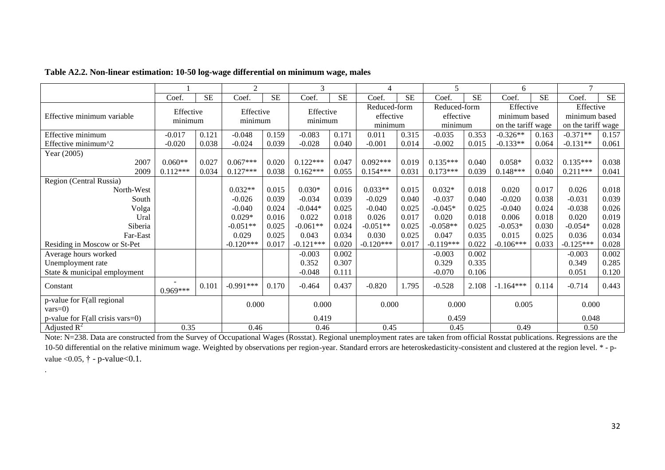|                                          |                      |           | 2                    |           | 3           |           | $\overline{4}$ |           | 5            |           | 6             |                    | $\tau$        |                    |  |
|------------------------------------------|----------------------|-----------|----------------------|-----------|-------------|-----------|----------------|-----------|--------------|-----------|---------------|--------------------|---------------|--------------------|--|
|                                          | Coef.                | <b>SE</b> | Coef.                | <b>SE</b> | Coef.       | <b>SE</b> | Coef.          | <b>SE</b> | Coef.        | <b>SE</b> | Coef.         | <b>SE</b>          | Coef.         | <b>SE</b>          |  |
| Effective minimum variable               | Effective<br>minimum |           | Effective<br>minimum |           | Effective   |           | Reduced-form   |           | Reduced-form |           | Effective     |                    | Effective     |                    |  |
|                                          |                      |           |                      |           | minimum     |           | effective      |           | effective    |           | minimum based |                    | minimum based |                    |  |
|                                          |                      |           |                      |           |             |           |                | minimum   |              | minimum   |               | on the tariff wage |               | on the tariff wage |  |
| Effective minimum                        | $-0.017$             | 0.121     | $-0.048$             | 0.159     | $-0.083$    | 0.171     | 0.011          | 0.315     | $-0.035$     | 0.353     | $-0.326**$    | 0.163              | $-0.371**$    | 0.157              |  |
| Effective minimum^2                      | $-0.020$             | 0.038     | $-0.024$             | 0.039     | $-0.028$    | 0.040     | $-0.001$       | 0.014     | $-0.002$     | 0.015     | $-0.133**$    | 0.064              | $-0.131**$    | 0.061              |  |
| Year (2005)                              |                      |           |                      |           |             |           |                |           |              |           |               |                    |               |                    |  |
| 2007                                     | $0.060**$            | 0.027     | $0.067***$           | 0.020     | $0.122***$  | 0.047     | $0.092***$     | 0.019     | $0.135***$   | 0.040     | $0.058*$      | 0.032              | $0.135***$    | 0.038              |  |
| 2009                                     | $0.112***$           | 0.034     | $0.127***$           | 0.038     | $0.162***$  | 0.055     | $0.154***$     | 0.031     | $0.173***$   | 0.039     | $0.148***$    | 0.040              | $0.211***$    | 0.041              |  |
| Region (Central Russia)                  |                      |           |                      |           |             |           |                |           |              |           |               |                    |               |                    |  |
| North-West                               |                      |           | $0.032**$            | 0.015     | $0.030*$    | 0.016     | $0.033**$      | 0.015     | $0.032*$     | 0.018     | 0.020         | 0.017              | 0.026         | 0.018              |  |
| South                                    |                      |           | $-0.026$             | 0.039     | $-0.034$    | 0.039     | $-0.029$       | 0.040     | $-0.037$     | 0.040     | $-0.020$      | 0.038              | $-0.031$      | 0.039              |  |
| Volga                                    |                      |           | $-0.040$             | 0.024     | $-0.044*$   | 0.025     | $-0.040$       | 0.025     | $-0.045*$    | 0.025     | $-0.040$      | 0.024              | $-0.038$      | 0.026              |  |
| Ural                                     |                      |           | $0.029*$             | 0.016     | 0.022       | 0.018     | 0.026          | 0.017     | 0.020        | 0.018     | 0.006         | 0.018              | 0.020         | 0.019              |  |
| Siberia                                  |                      |           | $-0.051**$           | 0.025     | $-0.061**$  | 0.024     | $-0.051**$     | 0.025     | $-0.058**$   | 0.025     | $-0.053*$     | 0.030              | $-0.054*$     | 0.028              |  |
| Far-East                                 |                      |           | 0.029                | 0.025     | 0.043       | 0.034     | 0.030          | 0.025     | 0.047        | 0.035     | 0.015         | 0.025              | 0.036         | 0.034              |  |
| Residing in Moscow or St-Pet             |                      |           | $-0.120***$          | 0.017     | $-0.121***$ | 0.020     | $-0.120***$    | 0.017     | $-0.119***$  | 0.022     | $-0.106***$   | 0.033              | $-0.125***$   | 0.028              |  |
| Average hours worked                     |                      |           |                      |           | $-0.003$    | 0.002     |                |           | $-0.003$     | 0.002     |               |                    | $-0.003$      | 0.002              |  |
| Unemployment rate                        |                      |           |                      |           | 0.352       | 0.307     |                |           | 0.329        | 0.335     |               |                    | 0.349         | 0.285              |  |
| State & municipal employment             |                      |           |                      |           | $-0.048$    | 0.111     |                |           | $-0.070$     | 0.106     |               |                    | 0.051         | 0.120              |  |
| Constant                                 | $0.969***$           | 0.101     | $-0.991***$          | 0.170     | $-0.464$    | 0.437     | $-0.820$       | 1.795     | $-0.528$     | 2.108     | $-1.164***$   | 0.114              | $-0.714$      | 0.443              |  |
| p-value for F(all regional<br>$vars=0$ ) |                      |           | 0.000                |           | 0.000       |           | 0.000          |           | 0.000        |           | 0.005         |                    | 0.000         |                    |  |
| $p$ -value for F(all crisis vars=0)      |                      |           |                      |           | 0.419       |           |                |           | 0.459        |           |               |                    | 0.048         |                    |  |
| Adjusted $R^2$                           | 0.35                 |           | 0.46                 |           | 0.46        |           | 0.45           |           | 0.45         |           | 0.49          |                    | 0.50          |                    |  |

### **Table A2.2. Non-linear estimation: 10-50 log-wage differential on minimum wage, males**

.

Note: N=238. Data are constructed from the Survey of Occupational Wages (Rosstat). Regional unemployment rates are taken from official Rosstat publications. Regressions are the 10-50 differential on the relative minimum wage. Weighted by observations per region-year. Standard errors are heteroskedasticity-consistent and clustered at the region level. \*-pvalue <  $0.05$ ,  $\dagger$  - p-value <  $0.1$ .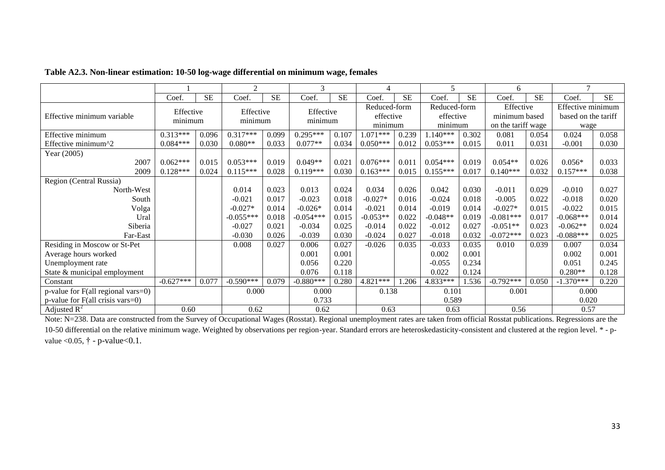|                                           |                      |           | $\overline{2}$       |           | 3                    |           | 4                    |           | 5            |           | 6                  |           |                     |           |
|-------------------------------------------|----------------------|-----------|----------------------|-----------|----------------------|-----------|----------------------|-----------|--------------|-----------|--------------------|-----------|---------------------|-----------|
|                                           | Coef.                | <b>SE</b> | Coef.                | <b>SE</b> | Coef.                | <b>SE</b> | Coef.                | <b>SE</b> | Coef.        | <b>SE</b> | Coef.              | <b>SE</b> | Coef.               | <b>SE</b> |
| Effective minimum variable                | Effective<br>minimum |           | Effective<br>minimum |           | Effective<br>minimum |           | Reduced-form         |           | Reduced-form |           | Effective          |           | Effective minimum   |           |
|                                           |                      |           |                      |           |                      |           | effective<br>minimum |           | effective    |           | minimum based      |           | based on the tariff |           |
|                                           |                      |           |                      |           |                      |           |                      |           | minimum      |           | on the tariff wage |           | wage                |           |
| Effective minimum                         | $0.313***$           | 0.096     | $0.317***$           | 0.099     | $0.295***$           | 0.107     | 1.071***             | 0.239     | $1.140***$   | 0.302     | 0.081              | 0.054     | 0.024               | 0.058     |
| Effective minimum^2                       | $0.084***$           | 0.030     | $0.080**$            | 0.033     | $0.077**$            | 0.034     | $0.050***$           | 0.012     | $0.053***$   | 0.015     | 0.011              | 0.031     | $-0.001$            | 0.030     |
| Year (2005)                               |                      |           |                      |           |                      |           |                      |           |              |           |                    |           |                     |           |
| 2007                                      | $0.062***$           | 0.015     | $0.053***$           | 0.019     | $0.049**$            | 0.021     | $0.076***$           | 0.011     | $0.054***$   | 0.019     | $0.054**$          | 0.026     | $0.056*$            | 0.033     |
| 2009                                      | $0.128***$           | 0.024     | $0.115***$           | 0.028     | $0.119***$           | 0.030     | $0.163***$           | 0.015     | $0.155***$   | 0.017     | $0.140***$         | 0.032     | $0.157***$          | 0.038     |
| Region (Central Russia)                   |                      |           |                      |           |                      |           |                      |           |              |           |                    |           |                     |           |
| North-West                                |                      |           | 0.014                | 0.023     | 0.013                | 0.024     | 0.034                | 0.026     | 0.042        | 0.030     | $-0.011$           | 0.029     | $-0.010$            | 0.027     |
| South                                     |                      |           | $-0.021$             | 0.017     | $-0.023$             | 0.018     | $-0.027*$            | 0.016     | $-0.024$     | 0.018     | $-0.005$           | 0.022     | $-0.018$            | 0.020     |
| Volga                                     |                      |           | $-0.027*$            | 0.014     | $-0.026*$            | 0.014     | $-0.021$             | 0.014     | $-0.019$     | 0.014     | $-0.027*$          | 0.015     | $-0.022$            | 0.015     |
| Ural                                      |                      |           | $-0.055***$          | 0.018     | $-0.054***$          | 0.015     | $-0.053**$           | 0.022     | $-0.048**$   | 0.019     | $-0.081***$        | 0.017     | $-0.068***$         | 0.014     |
| Siberia                                   |                      |           | $-0.027$             | 0.021     | $-0.034$             | 0.025     | $-0.014$             | 0.022     | $-0.012$     | 0.027     | $-0.051**$         | 0.023     | $-0.062**$          | 0.024     |
| Far-East                                  |                      |           | $-0.030$             | 0.026     | $-0.039$             | 0.030     | $-0.024$             | 0.027     | $-0.018$     | 0.032     | $-0.072***$        | 0.023     | $-0.088***$         | 0.025     |
| Residing in Moscow or St-Pet              |                      |           | 0.008                | 0.027     | 0.006                | 0.027     | $-0.026$             | 0.035     | $-0.033$     | 0.035     | 0.010              | 0.039     | 0.007               | 0.034     |
| Average hours worked                      |                      |           |                      |           | 0.001                | 0.001     |                      |           | 0.002        | 0.001     |                    |           | 0.002               | 0.001     |
| Unemployment rate                         |                      |           |                      |           | 0.056                | 0.220     |                      |           | $-0.055$     | 0.234     |                    |           | 0.051               | 0.245     |
| State & municipal employment              |                      |           |                      |           | 0.076                | 0.118     |                      |           | 0.022        | 0.124     |                    |           | $0.280**$           | 0.128     |
| Constant                                  | $-0.627***$          | 0.077     | $-0.590***$          | 0.079     | $-0.880***$          | 0.280     | $4.821***$           | .206      | 4.833***     | 1.536     | $-0.792***$        | 0.050     | $-1.370***$         | 0.220     |
| $p$ -value for F(all regional vars=0)     |                      |           | 0.000                |           | 0.000                |           | 0.138                |           | 0.101        |           | 0.001              |           | 0.000               |           |
| p-value for $F(\text{all crisis vars}=0)$ |                      |           |                      |           | 0.733                |           |                      |           | 0.589        |           |                    |           | 0.020               |           |
| Adjusted $R^2$                            | 0.60                 |           | 0.62                 |           | 0.62                 |           | 0.63                 |           | 0.63         |           | 0.56               |           | 0.57                |           |

#### **Table A2.3. Non-linear estimation: 10-50 log-wage differential on minimum wage, females**

Note: N=238. Data are constructed from the Survey of Occupational Wages (Rosstat). Regional unemployment rates are taken from official Rosstat publications. Regressions are the 10-50 differential on the relative minimum wage. Weighted by observations per region-year. Standard errors are heteroskedasticity-consistent and clustered at the region level. \* - pvalue < 0.05,  $\dagger$  - p-value < 0.1.